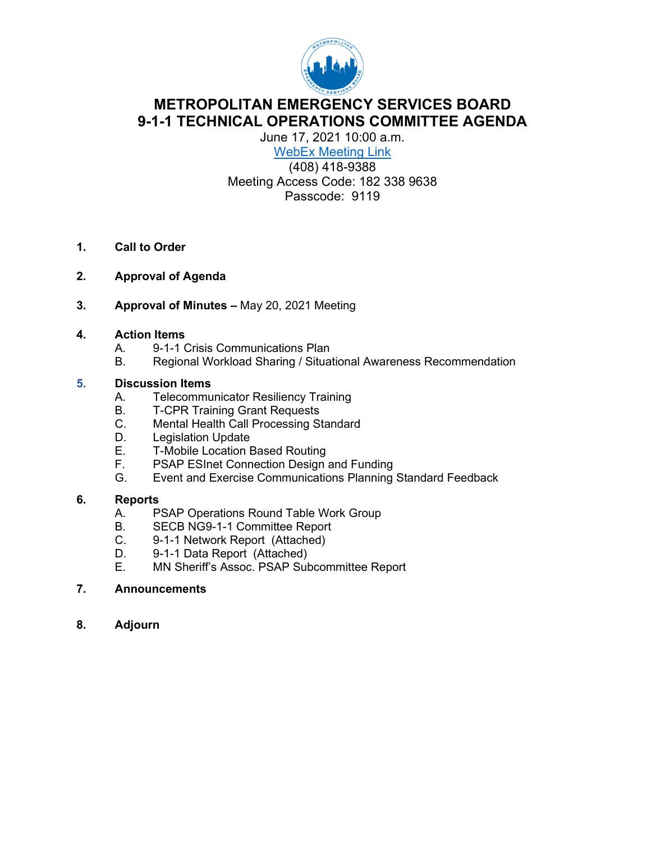

# **METROPOLITAN EMERGENCY SERVICES BOARD 9-1-1 TECHNICAL OPERATIONS COMMITTEE AGENDA**

June 17, 2021 10:00 a.m. WebEx Meeting Link

(408) 418-9388 Meeting Access Code: 182 338 9638 Passcode: 9119

- **1. Call to Order**
- **2. Approval of Agenda**
- **3. Approval of Minutes** May 20, 2021 Meeting

#### **4. Action Items**

- A. 9-1-1 Crisis Communications Plan
- B. Regional Workload Sharing / Situational Awareness Recommendation

### **5. Discussion Items**

- A. Telecommunicator Resiliency Training
- B. T-CPR Training Grant Requests
- C. Mental Health Call Processing Standard
- D. Legislation Update<br>E. T-Mobile Location E
- E. T-Mobile Location Based Routing<br>F. PSAP ESInet Connection Design
- PSAP ESInet Connection Design and Funding
- G. Event and Exercise Communications Planning Standard Feedback

#### **6. Reports**

- A. PSAP Operations Round Table Work Group
- B. SECB NG9-1-1 Committee Report
- C. 9-1-1 Network Report (Attached)
- D. 9-1-1 Data Report (Attached)<br>E. MN Sheriff's Assoc. PSAP Sut
- MN Sheriff's Assoc. PSAP Subcommittee Report

#### **7. Announcements**

**8. Adjourn**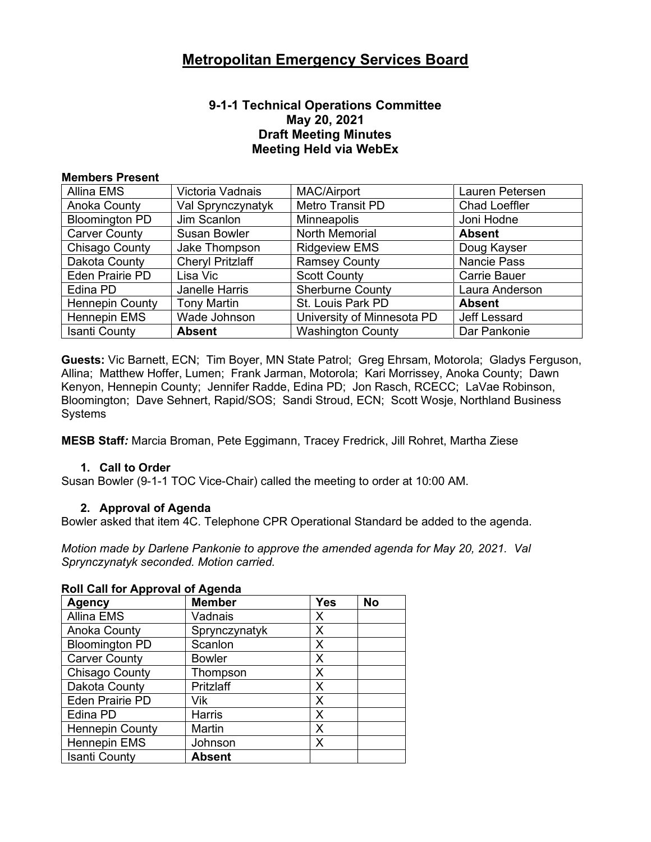### **9-1-1 Technical Operations Committee May 20, 2021 Draft Meeting Minutes Meeting Held via WebEx**

#### **Members Present**

| Allina EMS             | Victoria Vadnais        | <b>MAC/Airport</b>         | Lauren Petersen      |
|------------------------|-------------------------|----------------------------|----------------------|
| Anoka County           | Val Sprynczynatyk       | Metro Transit PD           | <b>Chad Loeffler</b> |
| <b>Bloomington PD</b>  | Jim Scanlon             | <b>Minneapolis</b>         | Joni Hodne           |
| <b>Carver County</b>   | Susan Bowler            | <b>North Memorial</b>      | <b>Absent</b>        |
| Chisago County         | Jake Thompson           | <b>Ridgeview EMS</b>       | Doug Kayser          |
| Dakota County          | <b>Cheryl Pritzlaff</b> | <b>Ramsey County</b>       | <b>Nancie Pass</b>   |
| Eden Prairie PD        | Lisa Vic                | <b>Scott County</b>        | <b>Carrie Bauer</b>  |
| Edina PD               | Janelle Harris          | <b>Sherburne County</b>    | Laura Anderson       |
| <b>Hennepin County</b> | <b>Tony Martin</b>      | St. Louis Park PD          | <b>Absent</b>        |
| <b>Hennepin EMS</b>    | Wade Johnson            | University of Minnesota PD | Jeff Lessard         |
| <b>Isanti County</b>   | <b>Absent</b>           | <b>Washington County</b>   | Dar Pankonie         |

**Guests:** Vic Barnett, ECN; Tim Boyer, MN State Patrol; Greg Ehrsam, Motorola; Gladys Ferguson, Allina; Matthew Hoffer, Lumen; Frank Jarman, Motorola; Kari Morrissey, Anoka County; Dawn Kenyon, Hennepin County; Jennifer Radde, Edina PD; Jon Rasch, RCECC; LaVae Robinson, Bloomington; Dave Sehnert, Rapid/SOS; Sandi Stroud, ECN; Scott Wosje, Northland Business **Systems** 

**MESB Staff***:* Marcia Broman, Pete Eggimann, Tracey Fredrick, Jill Rohret, Martha Ziese

#### **1. Call to Order**

Susan Bowler (9-1-1 TOC Vice-Chair) called the meeting to order at 10:00 AM.

#### **2. Approval of Agenda**

Bowler asked that item 4C. Telephone CPR Operational Standard be added to the agenda.

*Motion made by Darlene Pankonie to approve the amended agenda for May 20, 2021. Val Sprynczynatyk seconded. Motion carried.* 

| <b>Agency</b>          | <b>Member</b> | <b>Yes</b> | <b>No</b> |
|------------------------|---------------|------------|-----------|
| Allina EMS             | Vadnais       | X          |           |
| <b>Anoka County</b>    | Sprynczynatyk | X          |           |
| <b>Bloomington PD</b>  | Scanlon       | X          |           |
| <b>Carver County</b>   | <b>Bowler</b> | X          |           |
| Chisago County         | Thompson      | X          |           |
| Dakota County          | Pritzlaff     | X          |           |
| <b>Eden Prairie PD</b> | Vik           | X          |           |
| Edina PD               | <b>Harris</b> | X          |           |
| <b>Hennepin County</b> | Martin        | X          |           |
| <b>Hennepin EMS</b>    | Johnson       | X          |           |
| <b>Isanti County</b>   | <b>Absent</b> |            |           |

#### **Roll Call for Approval of Agenda**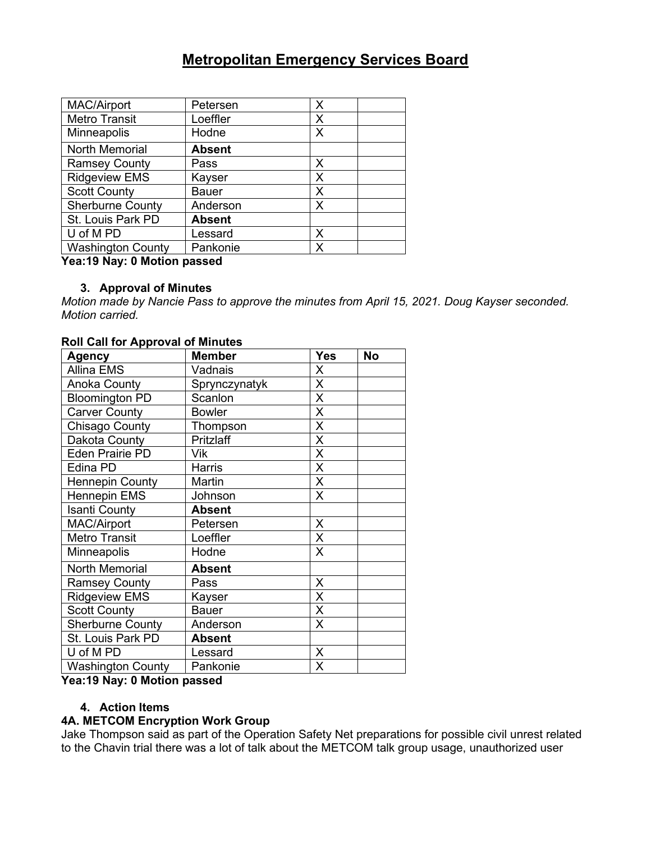| <b>MAC/Airport</b>       | Petersen      | X |
|--------------------------|---------------|---|
| <b>Metro Transit</b>     | Loeffler      | X |
| Minneapolis              | Hodne         | Х |
| North Memorial           | <b>Absent</b> |   |
| <b>Ramsey County</b>     | Pass          | Х |
| <b>Ridgeview EMS</b>     | Kayser        | X |
| <b>Scott County</b>      | Bauer         | Х |
| <b>Sherburne County</b>  | Anderson      | Χ |
| St. Louis Park PD        | <b>Absent</b> |   |
| U of M PD                | Lessard       | X |
| <b>Washington County</b> | Pankonie      | x |

#### **Yea:19 Nay: 0 Motion passed**

### **3. Approval of Minutes**

*Motion made by Nancie Pass to approve the minutes from April 15, 2021. Doug Kayser seconded. Motion carried.*

#### **Roll Call for Approval of Minutes**

| <b>Agency</b>            | <b>Member</b> | <b>Yes</b>     | <b>No</b> |
|--------------------------|---------------|----------------|-----------|
| Allina EMS               | Vadnais       | X              |           |
| Anoka County             | Sprynczynatyk | X              |           |
| <b>Bloomington PD</b>    | Scanlon       | X              |           |
| <b>Carver County</b>     | <b>Bowler</b> | X              |           |
| Chisago County           | Thompson      | X              |           |
| Dakota County            | Pritzlaff     | X              |           |
| <b>Eden Prairie PD</b>   | Vik           | X              |           |
| Edina PD                 | <b>Harris</b> | Χ              |           |
| <b>Hennepin County</b>   | Martin        | Χ              |           |
| <b>Hennepin EMS</b>      | Johnson       | X              |           |
| <b>Isanti County</b>     | <b>Absent</b> |                |           |
| <b>MAC/Airport</b>       | Petersen      | X              |           |
| <b>Metro Transit</b>     | Loeffler      | X              |           |
| Minneapolis              | Hodne         | X              |           |
| North Memorial           | <b>Absent</b> |                |           |
| <b>Ramsey County</b>     | Pass          | X              |           |
| <b>Ridgeview EMS</b>     | Kayser        | X              |           |
| <b>Scott County</b>      | <b>Bauer</b>  | X              |           |
| <b>Sherburne County</b>  | Anderson      | X              |           |
| St. Louis Park PD        | <b>Absent</b> |                |           |
| U of M PD                | Lessard       | $\pmb{\times}$ |           |
| <b>Washington County</b> | Pankonie      | X              |           |

**Yea:19 Nay: 0 Motion passed**

#### **4. Action Items**

#### **4A. METCOM Encryption Work Group**

Jake Thompson said as part of the Operation Safety Net preparations for possible civil unrest related to the Chavin trial there was a lot of talk about the METCOM talk group usage, unauthorized user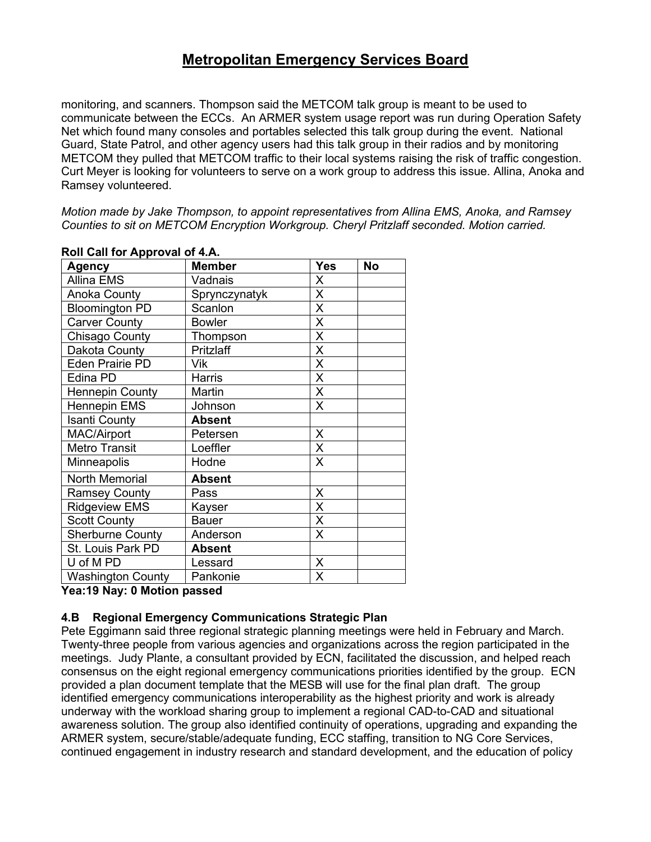monitoring, and scanners. Thompson said the METCOM talk group is meant to be used to communicate between the ECCs. An ARMER system usage report was run during Operation Safety Net which found many consoles and portables selected this talk group during the event. National Guard, State Patrol, and other agency users had this talk group in their radios and by monitoring METCOM they pulled that METCOM traffic to their local systems raising the risk of traffic congestion. Curt Meyer is looking for volunteers to serve on a work group to address this issue. Allina, Anoka and Ramsey volunteered.

*Motion made by Jake Thompson, to appoint representatives from Allina EMS, Anoka, and Ramsey Counties to sit on METCOM Encryption Workgroup. Cheryl Pritzlaff seconded. Motion carried.*

| <b>Agency</b>            | <b>Member</b> | <b>Yes</b>     | <b>No</b> |
|--------------------------|---------------|----------------|-----------|
| <b>Allina EMS</b>        | Vadnais       | X              |           |
| <b>Anoka County</b>      | Sprynczynatyk | X              |           |
| <b>Bloomington PD</b>    | Scanlon       | X              |           |
| <b>Carver County</b>     | <b>Bowler</b> | $\sf X$        |           |
| Chisago County           | Thompson      | X              |           |
| Dakota County            | Pritzlaff     | X              |           |
| <b>Eden Prairie PD</b>   | Vik           | X              |           |
| Edina PD                 | Harris        | $\pmb{\times}$ |           |
| <b>Hennepin County</b>   | Martin        | $\pmb{\times}$ |           |
| <b>Hennepin EMS</b>      | Johnson       | X              |           |
| <b>Isanti County</b>     | <b>Absent</b> |                |           |
| <b>MAC/Airport</b>       | Petersen      | X              |           |
| <b>Metro Transit</b>     | Loeffler      | $\pmb{\times}$ |           |
| <b>Minneapolis</b>       | Hodne         | X              |           |
| North Memorial           | <b>Absent</b> |                |           |
| <b>Ramsey County</b>     | Pass          | X              |           |
| <b>Ridgeview EMS</b>     | Kayser        | $\sf X$        |           |
| <b>Scott County</b>      | <b>Bauer</b>  | X              |           |
| <b>Sherburne County</b>  | Anderson      | X              |           |
| St. Louis Park PD        | <b>Absent</b> |                |           |
| U of M PD                | Lessard       | X              |           |
| <b>Washington County</b> | Pankonie      | X              |           |

#### **Roll Call for Approval of 4.A.**

**Yea:19 Nay: 0 Motion passed**

### **4.B Regional Emergency Communications Strategic Plan**

Pete Eggimann said three regional strategic planning meetings were held in February and March. Twenty-three people from various agencies and organizations across the region participated in the meetings. Judy Plante, a consultant provided by ECN, facilitated the discussion, and helped reach consensus on the eight regional emergency communications priorities identified by the group. ECN provided a plan document template that the MESB will use for the final plan draft. The group identified emergency communications interoperability as the highest priority and work is already underway with the workload sharing group to implement a regional CAD-to-CAD and situational awareness solution. The group also identified continuity of operations, upgrading and expanding the ARMER system, secure/stable/adequate funding, ECC staffing, transition to NG Core Services, continued engagement in industry research and standard development, and the education of policy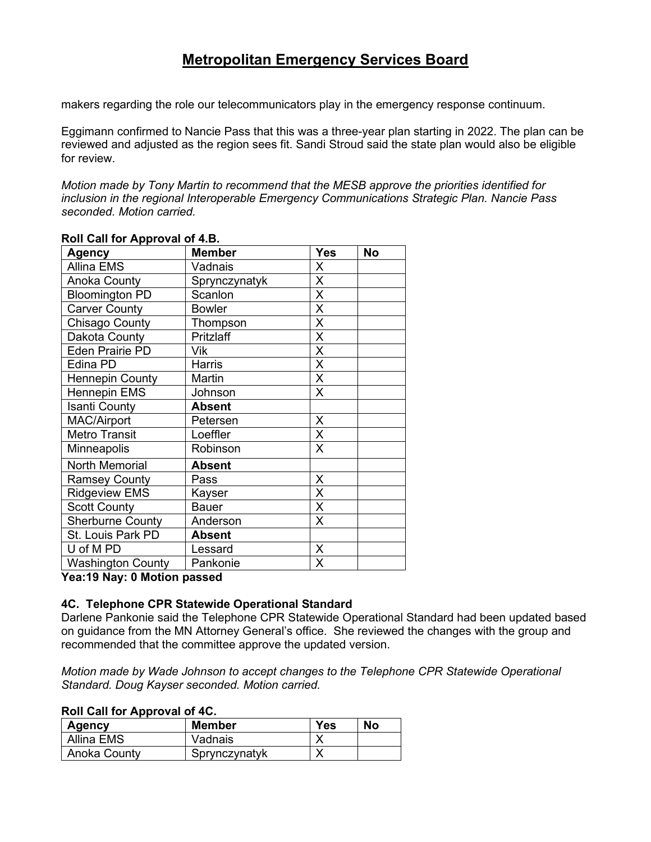makers regarding the role our telecommunicators play in the emergency response continuum.

Eggimann confirmed to Nancie Pass that this was a three-year plan starting in 2022. The plan can be reviewed and adjusted as the region sees fit. Sandi Stroud said the state plan would also be eligible for review.

*Motion made by Tony Martin to recommend that the MESB approve the priorities identified for inclusion in the regional Interoperable Emergency Communications Strategic Plan. Nancie Pass seconded. Motion carried.*

| <b>Agency</b>            | <b>Member</b> | <b>Yes</b> | <b>No</b> |
|--------------------------|---------------|------------|-----------|
| <b>Allina EMS</b>        | Vadnais       | X          |           |
| <b>Anoka County</b>      | Sprynczynatyk | X          |           |
| <b>Bloomington PD</b>    | Scanlon       | Χ          |           |
| <b>Carver County</b>     | <b>Bowler</b> | Χ          |           |
| Chisago County           | Thompson      | X          |           |
| Dakota County            | Pritzlaff     | X          |           |
| <b>Eden Prairie PD</b>   | Vik           | X          |           |
| Edina PD                 | Harris        | X          |           |
| <b>Hennepin County</b>   | Martin        | X          |           |
| Hennepin EMS             | Johnson       | X          |           |
| <b>Isanti County</b>     | <b>Absent</b> |            |           |
| <b>MAC/Airport</b>       | Petersen      | X          |           |
| <b>Metro Transit</b>     | Loeffler      | X          |           |
| Minneapolis              | Robinson      | X          |           |
| North Memorial           | <b>Absent</b> |            |           |
| <b>Ramsey County</b>     | Pass          | X          |           |
| <b>Ridgeview EMS</b>     | Kayser        | Χ          |           |
| <b>Scott County</b>      | <b>Bauer</b>  | Χ          |           |
| <b>Sherburne County</b>  | Anderson      | X          |           |
| St. Louis Park PD        | <b>Absent</b> |            |           |
| U of M PD                | Lessard       | X          |           |
| <b>Washington County</b> | Pankonie      | Χ          |           |

#### **Roll Call for Approval of 4.B.**

**Yea:19 Nay: 0 Motion passed**

#### **4C. Telephone CPR Statewide Operational Standard**

Darlene Pankonie said the Telephone CPR Statewide Operational Standard had been updated based on guidance from the MN Attorney General's office. She reviewed the changes with the group and recommended that the committee approve the updated version.

*Motion made by Wade Johnson to accept changes to the Telephone CPR Statewide Operational Standard. Doug Kayser seconded. Motion carried.*

#### **Roll Call for Approval of 4C.**

| Agency       | Member        | Yes | <b>No</b> |
|--------------|---------------|-----|-----------|
| Allina EMS   | Vadnais       |     |           |
| Anoka County | Sprynczynatyk |     |           |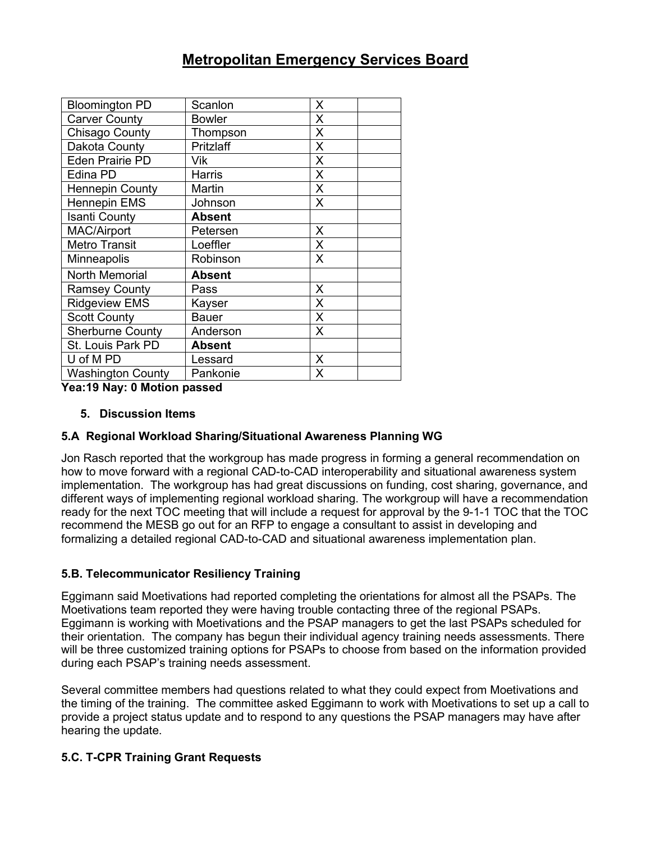| <b>Bloomington PD</b>    | Scanlon       | X |
|--------------------------|---------------|---|
| <b>Carver County</b>     | <b>Bowler</b> | X |
| Chisago County           | Thompson      | X |
| Dakota County            | Pritzlaff     | X |
| <b>Eden Prairie PD</b>   | Vik           | X |
| Edina PD                 | <b>Harris</b> | X |
| <b>Hennepin County</b>   | Martin        | X |
| Hennepin EMS             | Johnson       | X |
| <b>Isanti County</b>     | <b>Absent</b> |   |
| <b>MAC/Airport</b>       | Petersen      | X |
| <b>Metro Transit</b>     | Loeffler      | X |
| Minneapolis              | Robinson      | X |
| North Memorial           | <b>Absent</b> |   |
| <b>Ramsey County</b>     | Pass          | X |
| <b>Ridgeview EMS</b>     | Kayser        | X |
| <b>Scott County</b>      | <b>Bauer</b>  | X |
| <b>Sherburne County</b>  | Anderson      | X |
| St. Louis Park PD        | <b>Absent</b> |   |
| U of M PD                | Lessard       | X |
| <b>Washington County</b> | Pankonie      | X |

**Yea:19 Nay: 0 Motion passed**

### **5. Discussion Items**

### **5.A Regional Workload Sharing/Situational Awareness Planning WG**

Jon Rasch reported that the workgroup has made progress in forming a general recommendation on how to move forward with a regional CAD-to-CAD interoperability and situational awareness system implementation. The workgroup has had great discussions on funding, cost sharing, governance, and different ways of implementing regional workload sharing. The workgroup will have a recommendation ready for the next TOC meeting that will include a request for approval by the 9-1-1 TOC that the TOC recommend the MESB go out for an RFP to engage a consultant to assist in developing and formalizing a detailed regional CAD-to-CAD and situational awareness implementation plan.

# **5.B. Telecommunicator Resiliency Training**

Eggimann said Moetivations had reported completing the orientations for almost all the PSAPs. The Moetivations team reported they were having trouble contacting three of the regional PSAPs. Eggimann is working with Moetivations and the PSAP managers to get the last PSAPs scheduled for their orientation. The company has begun their individual agency training needs assessments. There will be three customized training options for PSAPs to choose from based on the information provided during each PSAP's training needs assessment.

Several committee members had questions related to what they could expect from Moetivations and the timing of the training. The committee asked Eggimann to work with Moetivations to set up a call to provide a project status update and to respond to any questions the PSAP managers may have after hearing the update.

# **5.C. T-CPR Training Grant Requests**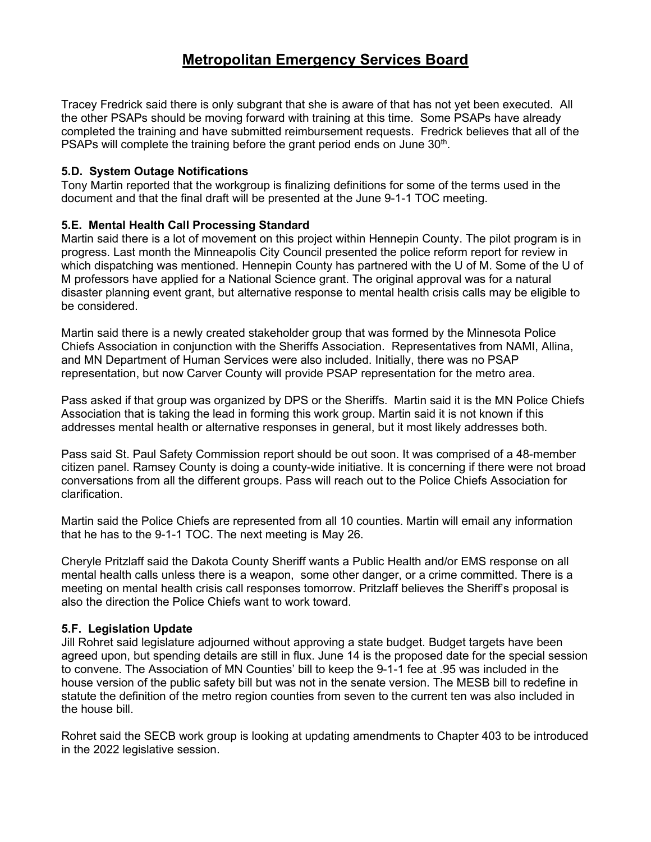Tracey Fredrick said there is only subgrant that she is aware of that has not yet been executed. All the other PSAPs should be moving forward with training at this time. Some PSAPs have already completed the training and have submitted reimbursement requests. Fredrick believes that all of the PSAPs will complete the training before the grant period ends on June 30<sup>th</sup>.

### **5.D. System Outage Notifications**

Tony Martin reported that the workgroup is finalizing definitions for some of the terms used in the document and that the final draft will be presented at the June 9-1-1 TOC meeting.

# **5.E. Mental Health Call Processing Standard**

Martin said there is a lot of movement on this project within Hennepin County. The pilot program is in progress. Last month the Minneapolis City Council presented the police reform report for review in which dispatching was mentioned. Hennepin County has partnered with the U of M. Some of the U of M professors have applied for a National Science grant. The original approval was for a natural disaster planning event grant, but alternative response to mental health crisis calls may be eligible to be considered.

Martin said there is a newly created stakeholder group that was formed by the Minnesota Police Chiefs Association in conjunction with the Sheriffs Association. Representatives from NAMI, Allina, and MN Department of Human Services were also included. Initially, there was no PSAP representation, but now Carver County will provide PSAP representation for the metro area.

Pass asked if that group was organized by DPS or the Sheriffs. Martin said it is the MN Police Chiefs Association that is taking the lead in forming this work group. Martin said it is not known if this addresses mental health or alternative responses in general, but it most likely addresses both.

Pass said St. Paul Safety Commission report should be out soon. It was comprised of a 48-member citizen panel. Ramsey County is doing a county-wide initiative. It is concerning if there were not broad conversations from all the different groups. Pass will reach out to the Police Chiefs Association for clarification.

Martin said the Police Chiefs are represented from all 10 counties. Martin will email any information that he has to the 9-1-1 TOC. The next meeting is May 26.

Cheryle Pritzlaff said the Dakota County Sheriff wants a Public Health and/or EMS response on all mental health calls unless there is a weapon, some other danger, or a crime committed. There is a meeting on mental health crisis call responses tomorrow. Pritzlaff believes the Sheriff's proposal is also the direction the Police Chiefs want to work toward.

### **5.F. Legislation Update**

Jill Rohret said legislature adjourned without approving a state budget. Budget targets have been agreed upon, but spending details are still in flux. June 14 is the proposed date for the special session to convene. The Association of MN Counties' bill to keep the 9-1-1 fee at .95 was included in the house version of the public safety bill but was not in the senate version. The MESB bill to redefine in statute the definition of the metro region counties from seven to the current ten was also included in the house bill.

Rohret said the SECB work group is looking at updating amendments to Chapter 403 to be introduced in the 2022 legislative session.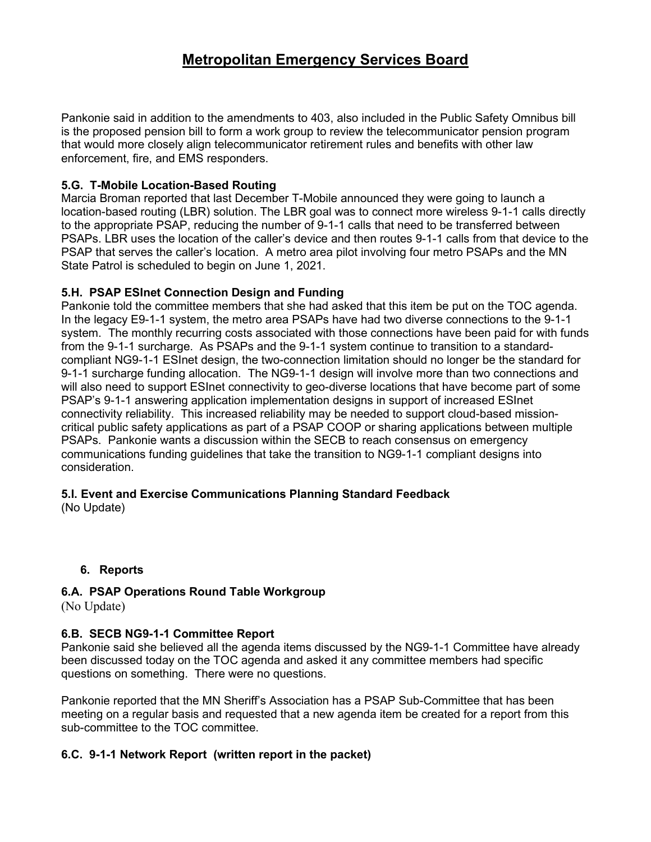Pankonie said in addition to the amendments to 403, also included in the Public Safety Omnibus bill is the proposed pension bill to form a work group to review the telecommunicator pension program that would more closely align telecommunicator retirement rules and benefits with other law enforcement, fire, and EMS responders.

### **5.G. T-Mobile Location-Based Routing**

Marcia Broman reported that last December T-Mobile announced they were going to launch a location-based routing (LBR) solution. The LBR goal was to connect more wireless 9-1-1 calls directly to the appropriate PSAP, reducing the number of 9-1-1 calls that need to be transferred between PSAPs. LBR uses the location of the caller's device and then routes 9-1-1 calls from that device to the PSAP that serves the caller's location. A metro area pilot involving four metro PSAPs and the MN State Patrol is scheduled to begin on June 1, 2021.

### **5.H. PSAP ESInet Connection Design and Funding**

Pankonie told the committee members that she had asked that this item be put on the TOC agenda. In the legacy E9-1-1 system, the metro area PSAPs have had two diverse connections to the 9-1-1 system. The monthly recurring costs associated with those connections have been paid for with funds from the 9-1-1 surcharge. As PSAPs and the 9-1-1 system continue to transition to a standardcompliant NG9-1-1 ESInet design, the two-connection limitation should no longer be the standard for 9-1-1 surcharge funding allocation. The NG9-1-1 design will involve more than two connections and will also need to support ESInet connectivity to geo-diverse locations that have become part of some PSAP's 9-1-1 answering application implementation designs in support of increased ESInet connectivity reliability. This increased reliability may be needed to support cloud-based missioncritical public safety applications as part of a PSAP COOP or sharing applications between multiple PSAPs. Pankonie wants a discussion within the SECB to reach consensus on emergency communications funding guidelines that take the transition to NG9-1-1 compliant designs into consideration.

# **5.I. Event and Exercise Communications Planning Standard Feedback**

(No Update)

# **6. Reports**

# **6.A. PSAP Operations Round Table Workgroup**

(No Update)

# **6.B. SECB NG9-1-1 Committee Report**

Pankonie said she believed all the agenda items discussed by the NG9-1-1 Committee have already been discussed today on the TOC agenda and asked it any committee members had specific questions on something. There were no questions.

Pankonie reported that the MN Sheriff's Association has a PSAP Sub-Committee that has been meeting on a regular basis and requested that a new agenda item be created for a report from this sub-committee to the TOC committee.

# **6.C. 9-1-1 Network Report (written report in the packet)**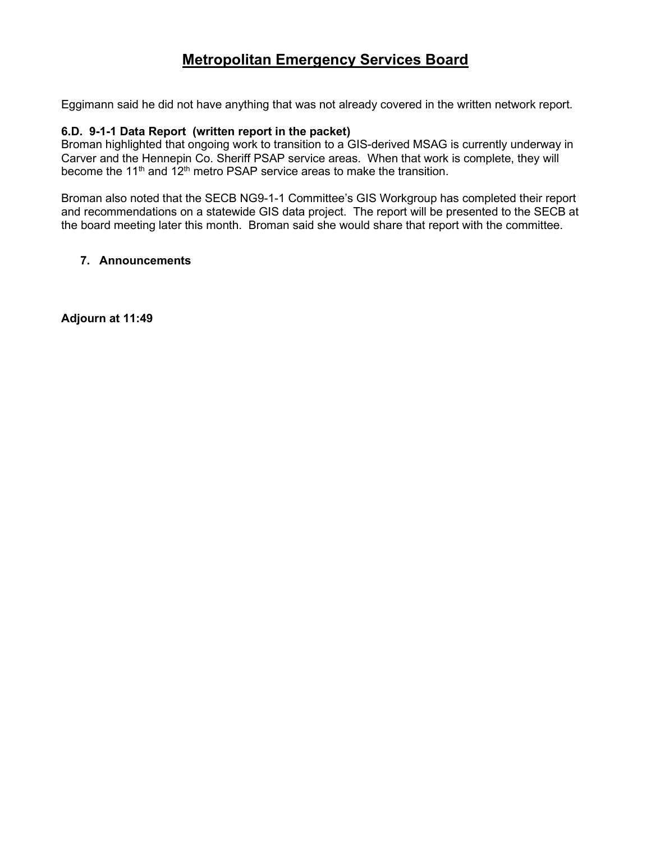Eggimann said he did not have anything that was not already covered in the written network report.

#### **6.D. 9-1-1 Data Report (written report in the packet)**

Broman highlighted that ongoing work to transition to a GIS-derived MSAG is currently underway in Carver and the Hennepin Co. Sheriff PSAP service areas. When that work is complete, they will become the 11<sup>th</sup> and 12<sup>th</sup> metro PSAP service areas to make the transition.

Broman also noted that the SECB NG9-1-1 Committee's GIS Workgroup has completed their report and recommendations on a statewide GIS data project. The report will be presented to the SECB at the board meeting later this month. Broman said she would share that report with the committee.

#### **7. Announcements**

**Adjourn at 11:49**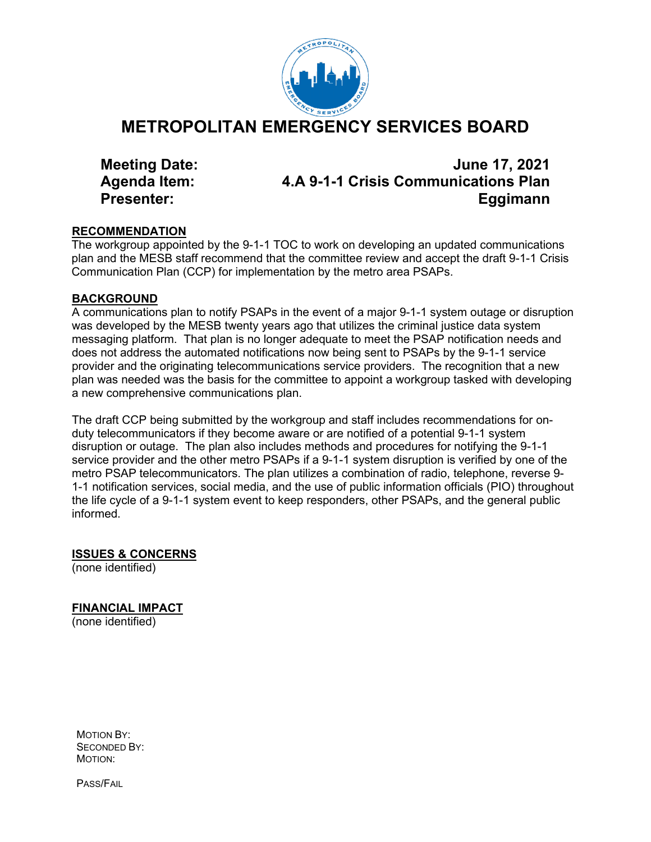

# **METROPOLITAN EMERGENCY SERVICES BOARD**

**Meeting Date: June 17, 2021 Agenda Item: 4.A 9-1-1 Crisis Communications Plan Presenter: Eggimann**

### **RECOMMENDATION**

The workgroup appointed by the 9-1-1 TOC to work on developing an updated communications plan and the MESB staff recommend that the committee review and accept the draft 9-1-1 Crisis Communication Plan (CCP) for implementation by the metro area PSAPs.

# **BACKGROUND**

A communications plan to notify PSAPs in the event of a major 9-1-1 system outage or disruption was developed by the MESB twenty years ago that utilizes the criminal justice data system messaging platform. That plan is no longer adequate to meet the PSAP notification needs and does not address the automated notifications now being sent to PSAPs by the 9-1-1 service provider and the originating telecommunications service providers. The recognition that a new plan was needed was the basis for the committee to appoint a workgroup tasked with developing a new comprehensive communications plan.

The draft CCP being submitted by the workgroup and staff includes recommendations for onduty telecommunicators if they become aware or are notified of a potential 9-1-1 system disruption or outage. The plan also includes methods and procedures for notifying the 9-1-1 service provider and the other metro PSAPs if a 9-1-1 system disruption is verified by one of the metro PSAP telecommunicators. The plan utilizes a combination of radio, telephone, reverse 9- 1-1 notification services, social media, and the use of public information officials (PIO) throughout the life cycle of a 9-1-1 system event to keep responders, other PSAPs, and the general public informed.

# **ISSUES & CONCERNS**

(none identified)

# **FINANCIAL IMPACT**

(none identified)

MOTION BY: SECONDED BY: MOTION:

PASS/FAIL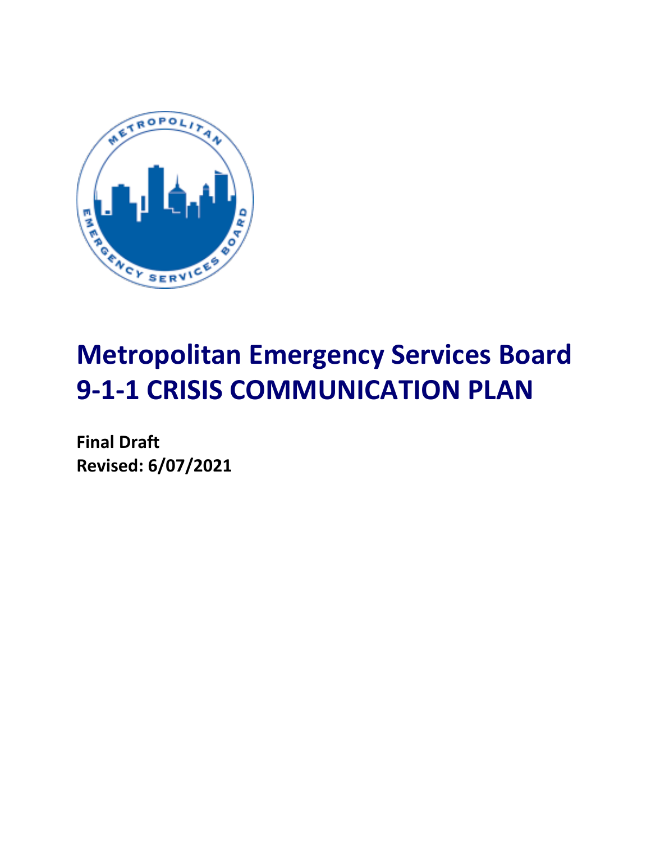

# **Metropolitan Emergency Services Board 9-1-1 CRISIS COMMUNICATION PLAN**

**Final Draft Revised: 6/07/2021**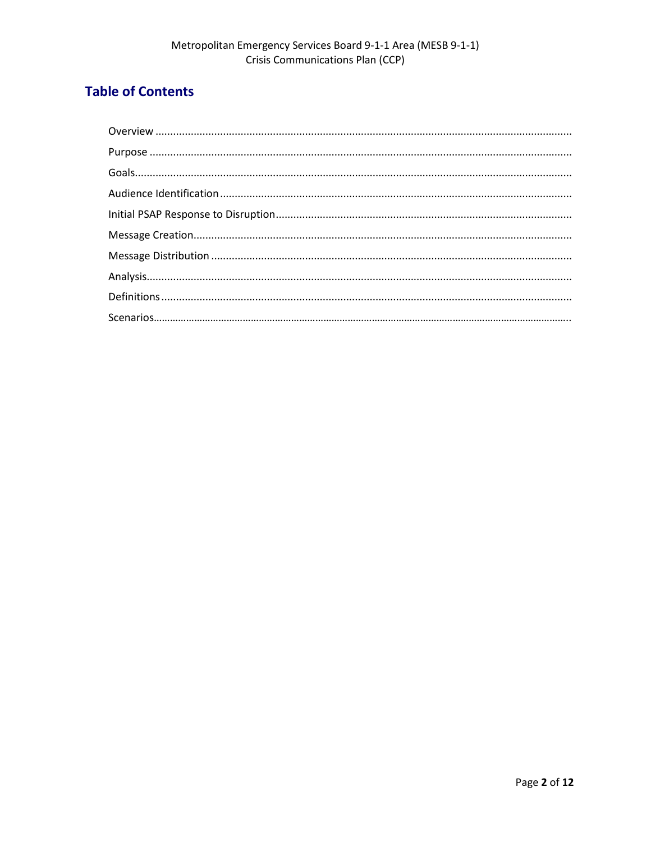# **Table of Contents**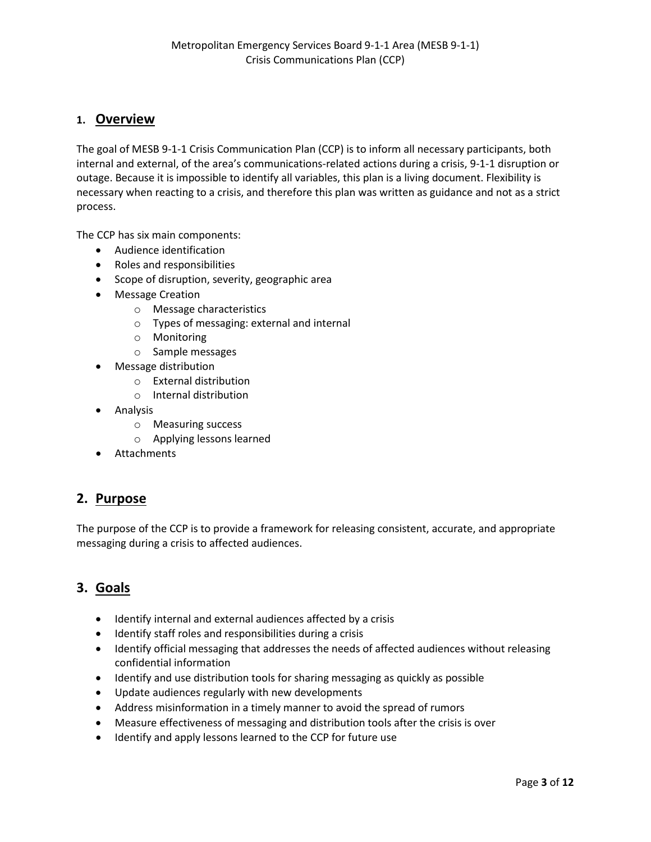# **1. Overview**

The goal of MESB 9-1-1 Crisis Communication Plan (CCP) is to inform all necessary participants, both internal and external, of the area's communications-related actions during a crisis, 9-1-1 disruption or outage. Because it is impossible to identify all variables, this plan is a living document. Flexibility is necessary when reacting to a crisis, and therefore this plan was written as guidance and not as a strict process.

The CCP has six main components:

- Audience identification
- Roles and responsibilities
- Scope of disruption, severity, geographic area
- Message Creation
	- o Message characteristics
	- o Types of messaging: external and internal
	- o Monitoring
	- o Sample messages
- Message distribution
	- o External distribution
	- o Internal distribution
- Analysis
	- o Measuring success
	- o Applying lessons learned
- Attachments

# **2. Purpose**

The purpose of the CCP is to provide a framework for releasing consistent, accurate, and appropriate messaging during a crisis to affected audiences.

# **3. Goals**

- Identify internal and external audiences affected by a crisis
- Identify staff roles and responsibilities during a crisis
- Identify official messaging that addresses the needs of affected audiences without releasing confidential information
- Identify and use distribution tools for sharing messaging as quickly as possible
- Update audiences regularly with new developments
- Address misinformation in a timely manner to avoid the spread of rumors
- Measure effectiveness of messaging and distribution tools after the crisis is over
- Identify and apply lessons learned to the CCP for future use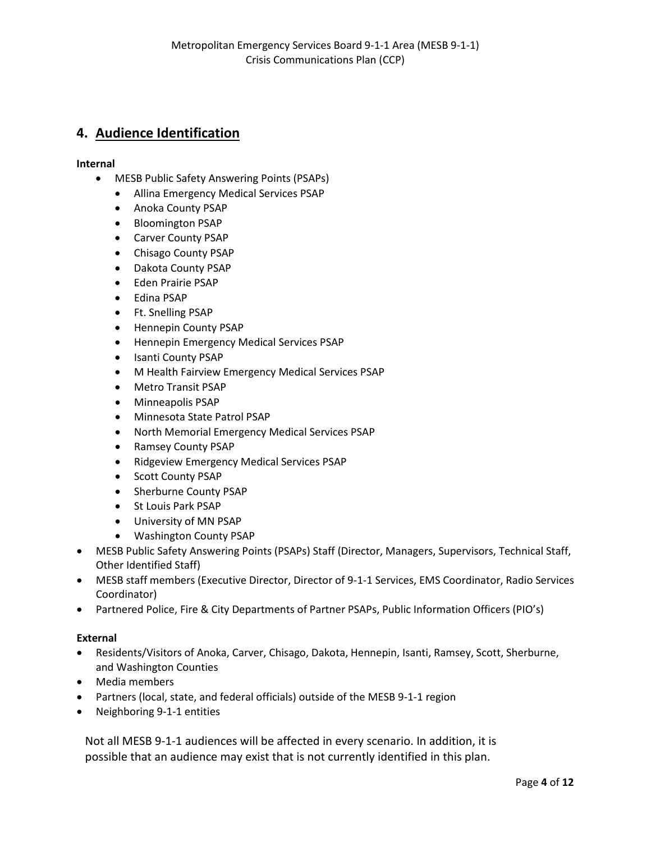# **4. Audience Identification**

#### **Internal**

- MESB Public Safety Answering Points (PSAPs)
	- Allina Emergency Medical Services PSAP
	- Anoka County PSAP
	- Bloomington PSAP
	- Carver County PSAP
	- Chisago County PSAP
	- Dakota County PSAP
	- Eden Prairie PSAP
	- Edina PSAP
	- Ft. Snelling PSAP
	- Hennepin County PSAP
	- Hennepin Emergency Medical Services PSAP
	- Isanti County PSAP
	- M Health Fairview Emergency Medical Services PSAP
	- Metro Transit PSAP
	- Minneapolis PSAP
	- Minnesota State Patrol PSAP
	- North Memorial Emergency Medical Services PSAP
	- Ramsey County PSAP
	- Ridgeview Emergency Medical Services PSAP
	- Scott County PSAP
	- Sherburne County PSAP
	- St Louis Park PSAP
	- University of MN PSAP
	- Washington County PSAP
- MESB Public Safety Answering Points (PSAPs) Staff (Director, Managers, Supervisors, Technical Staff, Other Identified Staff)
- MESB staff members (Executive Director, Director of 9-1-1 Services, EMS Coordinator, Radio Services Coordinator)
- Partnered Police, Fire & City Departments of Partner PSAPs, Public Information Officers (PIO's)

#### **External**

- Residents/Visitors of Anoka, Carver, Chisago, Dakota, Hennepin, Isanti, Ramsey, Scott, Sherburne, and Washington Counties
- Media members
- Partners (local, state, and federal officials) outside of the MESB 9-1-1 region
- Neighboring 9-1-1 entities

Not all MESB 9-1-1 audiences will be affected in every scenario. In addition, it is possible that an audience may exist that is not currently identified in this plan.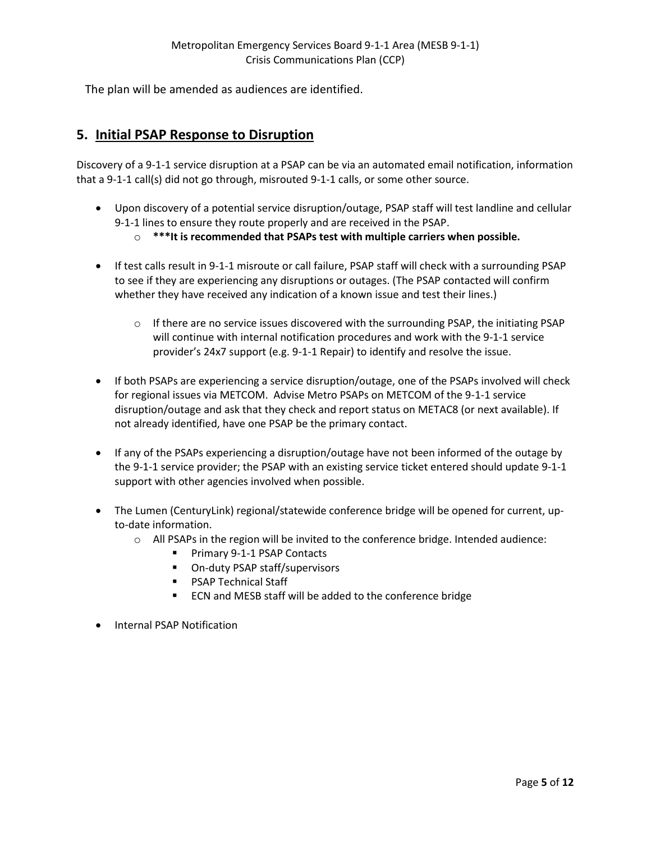The plan will be amended as audiences are identified.

# **5. Initial PSAP Response to Disruption**

Discovery of a 9-1-1 service disruption at a PSAP can be via an automated email notification, information that a 9-1-1 call(s) did not go through, misrouted 9-1-1 calls, or some other source.

- Upon discovery of a potential service disruption/outage, PSAP staff will test landline and cellular 9-1-1 lines to ensure they route properly and are received in the PSAP.
	- o **\*\*\*It is recommended that PSAPs test with multiple carriers when possible.**
- If test calls result in 9-1-1 misroute or call failure, PSAP staff will check with a surrounding PSAP to see if they are experiencing any disruptions or outages. (The PSAP contacted will confirm whether they have received any indication of a known issue and test their lines.)
	- o If there are no service issues discovered with the surrounding PSAP, the initiating PSAP will continue with internal notification procedures and work with the 9-1-1 service provider's 24x7 support (e.g. 9-1-1 Repair) to identify and resolve the issue.
- If both PSAPs are experiencing a service disruption/outage, one of the PSAPs involved will check for regional issues via METCOM. Advise Metro PSAPs on METCOM of the 9-1-1 service disruption/outage and ask that they check and report status on METAC8 (or next available). If not already identified, have one PSAP be the primary contact.
- If any of the PSAPs experiencing a disruption/outage have not been informed of the outage by the 9-1-1 service provider; the PSAP with an existing service ticket entered should update 9-1-1 support with other agencies involved when possible.
- The Lumen (CenturyLink) regional/statewide conference bridge will be opened for current, upto-date information.
	- o All PSAPs in the region will be invited to the conference bridge. Intended audience:
		- **Primary 9-1-1 PSAP Contacts**
		- On-duty PSAP staff/supervisors
		- **PSAP Technical Staff**
		- **ECN** and MESB staff will be added to the conference bridge
- Internal PSAP Notification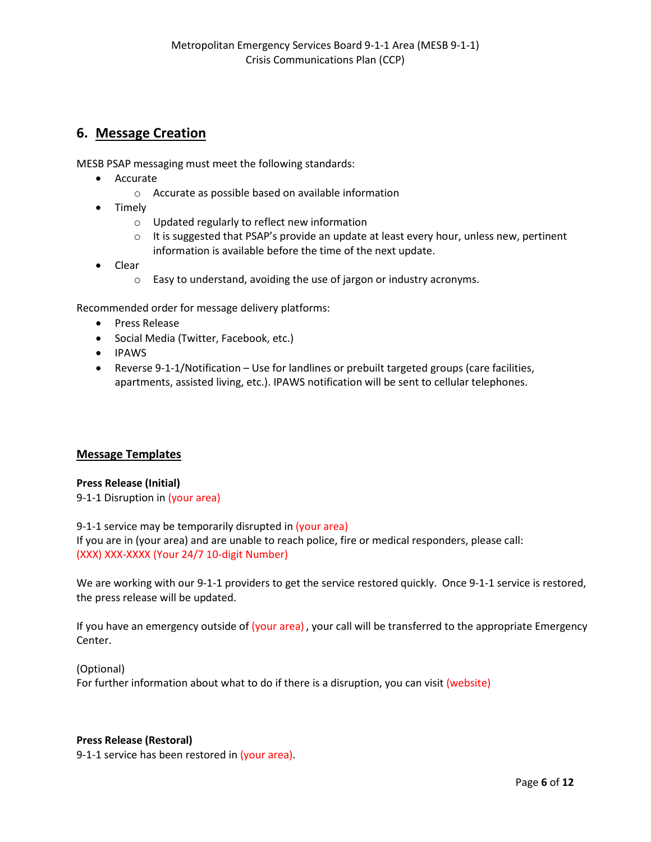# **6. Message Creation**

MESB PSAP messaging must meet the following standards:

- Accurate
	- o Accurate as possible based on available information
- Timely
	- o Updated regularly to reflect new information
	- $\circ$  It is suggested that PSAP's provide an update at least every hour, unless new, pertinent information is available before the time of the next update.
- Clear
	- o Easy to understand, avoiding the use of jargon or industry acronyms.

Recommended order for message delivery platforms:

- Press Release
- Social Media (Twitter, Facebook, etc.)
- IPAWS
- Reverse 9-1-1/Notification Use for landlines or prebuilt targeted groups (care facilities, apartments, assisted living, etc.). IPAWS notification will be sent to cellular telephones.

#### **Message Templates**

#### **Press Release (Initial)**

9-1-1 Disruption in (your area)

9-1-1 service may be temporarily disrupted in (your area) If you are in (your area) and are unable to reach police, fire or medical responders, please call: (XXX) XXX-XXXX (Your 24/7 10-digit Number)

We are working with our 9-1-1 providers to get the service restored quickly. Once 9-1-1 service is restored, the press release will be updated.

If you have an emergency outside of (your area), your call will be transferred to the appropriate Emergency Center.

(Optional) For further information about what to do if there is a disruption, you can visit (website)

#### **Press Release (Restoral)**

9-1-1 service has been restored in (your area).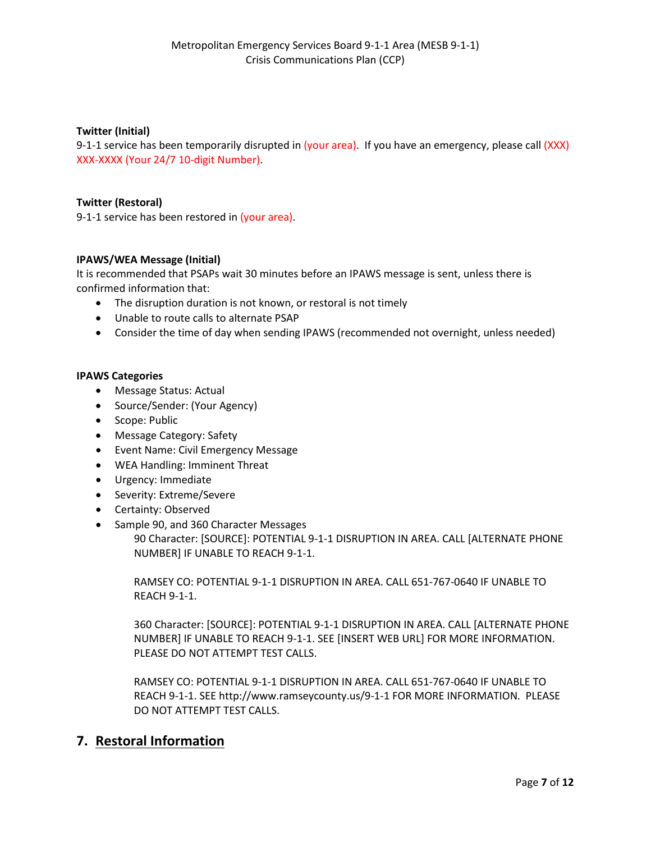#### **Twitter (Initial)**

9-1-1 service has been temporarily disrupted in (your area). If you have an emergency, please call (XXX) XXX-XXXX (Your 24/7 10-digit Number).

#### **Twitter (Restoral)**

9-1-1 service has been restored in (your area).

#### **IPAWS/WEA Message (Initial)**

It is recommended that PSAPs wait 30 minutes before an IPAWS message is sent, unless there is confirmed information that:

- The disruption duration is not known, or restoral is not timely
- Unable to route calls to alternate PSAP
- Consider the time of day when sending IPAWS (recommended not overnight, unless needed)

#### **IPAWS Categories**

- Message Status: Actual
- Source/Sender: (Your Agency)
- Scope: Public
- Message Category: Safety
- Event Name: Civil Emergency Message
- WEA Handling: Imminent Threat
- Urgency: Immediate
- Severity: Extreme/Severe
- Certainty: Observed
- Sample 90, and 360 Character Messages

90 Character: [SOURCE]: POTENTIAL 9-1-1 DISRUPTION IN AREA. CALL [ALTERNATE PHONE NUMBER] IF UNABLE TO REACH 9-1-1.

RAMSEY CO: POTENTIAL 9-1-1 DISRUPTION IN AREA. CALL 651-767-0640 IF UNABLE TO REACH 9-1-1.

360 Character: [SOURCE]: POTENTIAL 9-1-1 DISRUPTION IN AREA. CALL [ALTERNATE PHONE NUMBER] IF UNABLE TO REACH 9-1-1. SEE [INSERT WEB URL] FOR MORE INFORMATION. PLEASE DO NOT ATTEMPT TEST CALLS.

RAMSEY CO: POTENTIAL 9-1-1 DISRUPTION IN AREA. CALL 651-767-0640 IF UNABLE TO REACH 9-1-1. SEE http://www.ramseycounty.us/9-1-1 FOR MORE INFORMATION. PLEASE DO NOT ATTEMPT TEST CALLS.

# **7. Restoral Information**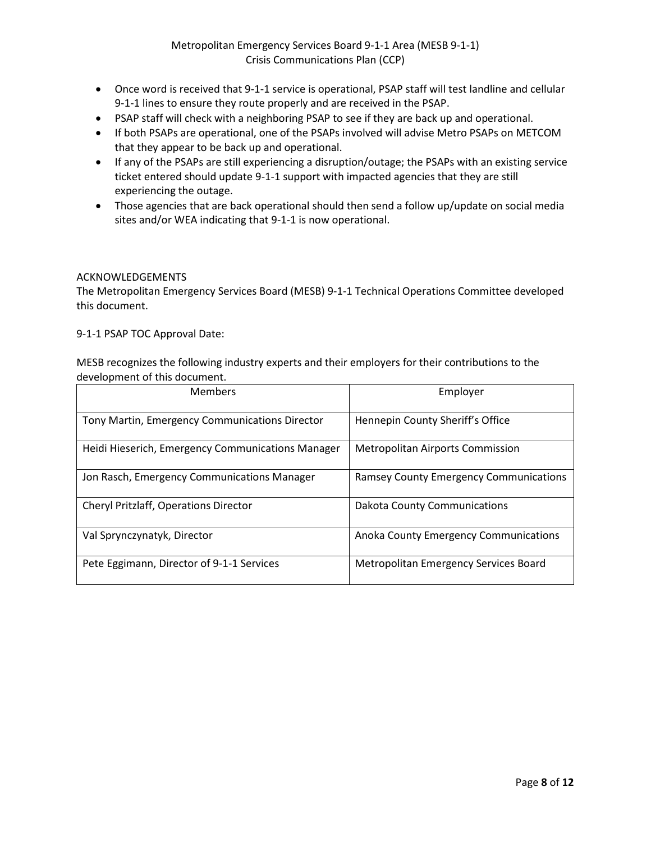- Once word is received that 9-1-1 service is operational, PSAP staff will test landline and cellular 9-1-1 lines to ensure they route properly and are received in the PSAP.
- PSAP staff will check with a neighboring PSAP to see if they are back up and operational.
- If both PSAPs are operational, one of the PSAPs involved will advise Metro PSAPs on METCOM that they appear to be back up and operational.
- If any of the PSAPs are still experiencing a disruption/outage; the PSAPs with an existing service ticket entered should update 9-1-1 support with impacted agencies that they are still experiencing the outage.
- Those agencies that are back operational should then send a follow up/update on social media sites and/or WEA indicating that 9-1-1 is now operational.

#### ACKNOWLEDGEMENTS

The Metropolitan Emergency Services Board (MESB) 9-1-1 Technical Operations Committee developed this document.

9-1-1 PSAP TOC Approval Date:

MESB recognizes the following industry experts and their employers for their contributions to the development of this document.

| <b>Members</b>                                    | Employer                                      |
|---------------------------------------------------|-----------------------------------------------|
| Tony Martin, Emergency Communications Director    | Hennepin County Sheriff's Office              |
| Heidi Hieserich, Emergency Communications Manager | <b>Metropolitan Airports Commission</b>       |
| Jon Rasch, Emergency Communications Manager       | <b>Ramsey County Emergency Communications</b> |
| <b>Cheryl Pritzlaff, Operations Director</b>      | <b>Dakota County Communications</b>           |
| Val Sprynczynatyk, Director                       | Anoka County Emergency Communications         |
| Pete Eggimann, Director of 9-1-1 Services         | Metropolitan Emergency Services Board         |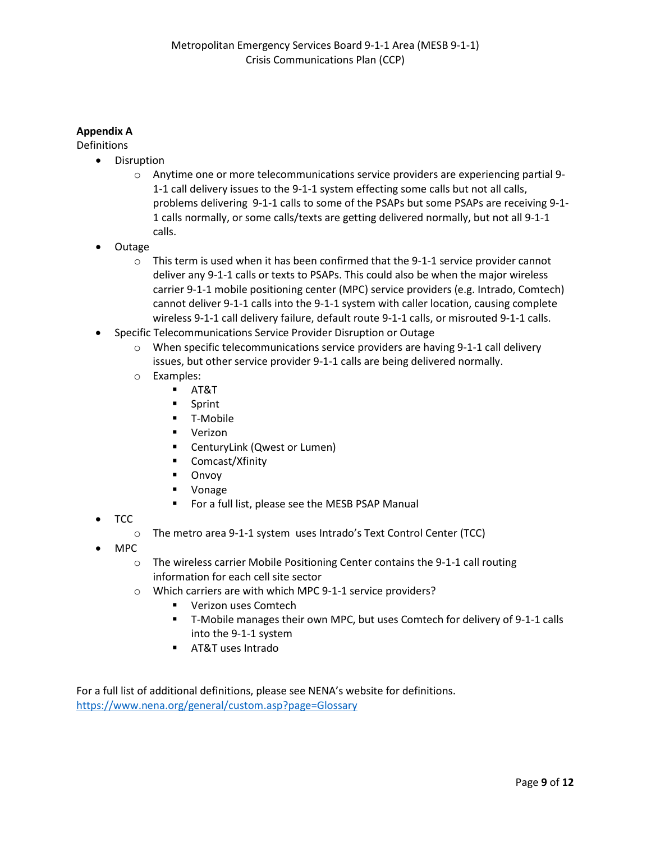#### **Appendix A**

Definitions

- Disruption
	- o Anytime one or more telecommunications service providers are experiencing partial 9- 1-1 call delivery issues to the 9-1-1 system effecting some calls but not all calls, problems delivering 9-1-1 calls to some of the PSAPs but some PSAPs are receiving 9-1- 1 calls normally, or some calls/texts are getting delivered normally, but not all 9-1-1 calls.
- Outage
	- $\circ$  This term is used when it has been confirmed that the 9-1-1 service provider cannot deliver any 9-1-1 calls or texts to PSAPs. This could also be when the major wireless carrier 9-1-1 mobile positioning center (MPC) service providers (e.g. Intrado, Comtech) cannot deliver 9-1-1 calls into the 9-1-1 system with caller location, causing complete wireless 9-1-1 call delivery failure, default route 9-1-1 calls, or misrouted 9-1-1 calls.
- Specific Telecommunications Service Provider Disruption or Outage
	- $\circ$  When specific telecommunications service providers are having 9-1-1 call delivery issues, but other service provider 9-1-1 calls are being delivered normally.
	- o Examples:
		- AT&T
		- **Sprint**
		- T-Mobile
		- **verizon**
		- **E** CenturyLink (Qwest or Lumen)
		- Comcast/Xfinity
		- **Divoy**
		- **•** Vonage
		- **F** For a full list, please see the MESB PSAP Manual
- TCC
	- o The metro area 9-1-1 system uses Intrado's Text Control Center (TCC)
- MPC
	- $\circ$  The wireless carrier Mobile Positioning Center contains the 9-1-1 call routing information for each cell site sector
	- o Which carriers are with which MPC 9-1-1 service providers?
		- **Verizon uses Comtech**
		- T-Mobile manages their own MPC, but uses Comtech for delivery of 9-1-1 calls into the 9-1-1 system
		- AT&T uses Intrado

For a full list of additional definitions, please see NENA's website for definitions. <https://www.nena.org/general/custom.asp?page=Glossary>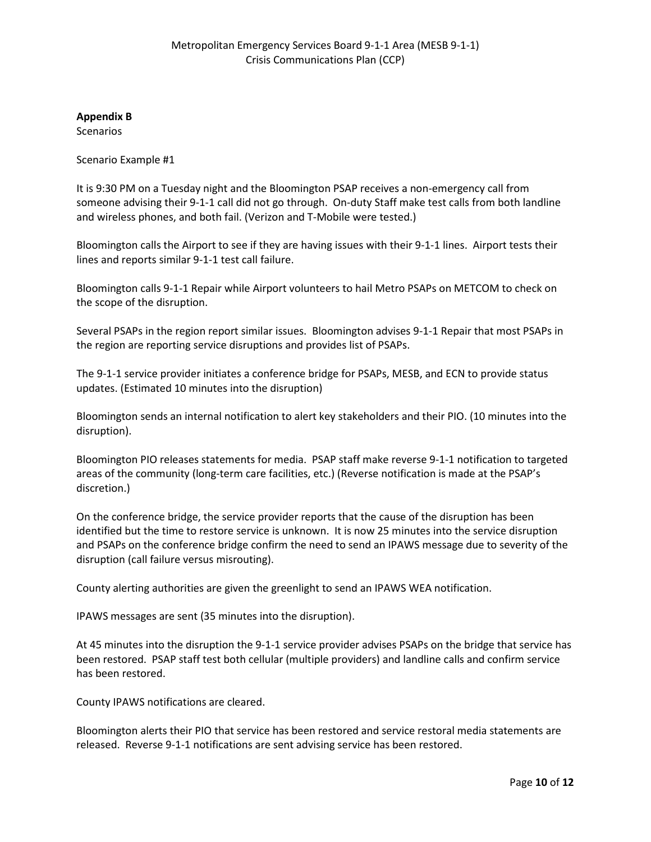**Appendix B**

**Scenarios** 

Scenario Example #1

It is 9:30 PM on a Tuesday night and the Bloomington PSAP receives a non-emergency call from someone advising their 9-1-1 call did not go through. On-duty Staff make test calls from both landline and wireless phones, and both fail. (Verizon and T-Mobile were tested.)

Bloomington calls the Airport to see if they are having issues with their 9-1-1 lines. Airport tests their lines and reports similar 9-1-1 test call failure.

Bloomington calls 9-1-1 Repair while Airport volunteers to hail Metro PSAPs on METCOM to check on the scope of the disruption.

Several PSAPs in the region report similar issues. Bloomington advises 9-1-1 Repair that most PSAPs in the region are reporting service disruptions and provides list of PSAPs.

The 9-1-1 service provider initiates a conference bridge for PSAPs, MESB, and ECN to provide status updates. (Estimated 10 minutes into the disruption)

Bloomington sends an internal notification to alert key stakeholders and their PIO. (10 minutes into the disruption).

Bloomington PIO releases statements for media. PSAP staff make reverse 9-1-1 notification to targeted areas of the community (long-term care facilities, etc.) (Reverse notification is made at the PSAP's discretion.)

On the conference bridge, the service provider reports that the cause of the disruption has been identified but the time to restore service is unknown. It is now 25 minutes into the service disruption and PSAPs on the conference bridge confirm the need to send an IPAWS message due to severity of the disruption (call failure versus misrouting).

County alerting authorities are given the greenlight to send an IPAWS WEA notification.

IPAWS messages are sent (35 minutes into the disruption).

At 45 minutes into the disruption the 9-1-1 service provider advises PSAPs on the bridge that service has been restored. PSAP staff test both cellular (multiple providers) and landline calls and confirm service has been restored.

County IPAWS notifications are cleared.

Bloomington alerts their PIO that service has been restored and service restoral media statements are released. Reverse 9-1-1 notifications are sent advising service has been restored.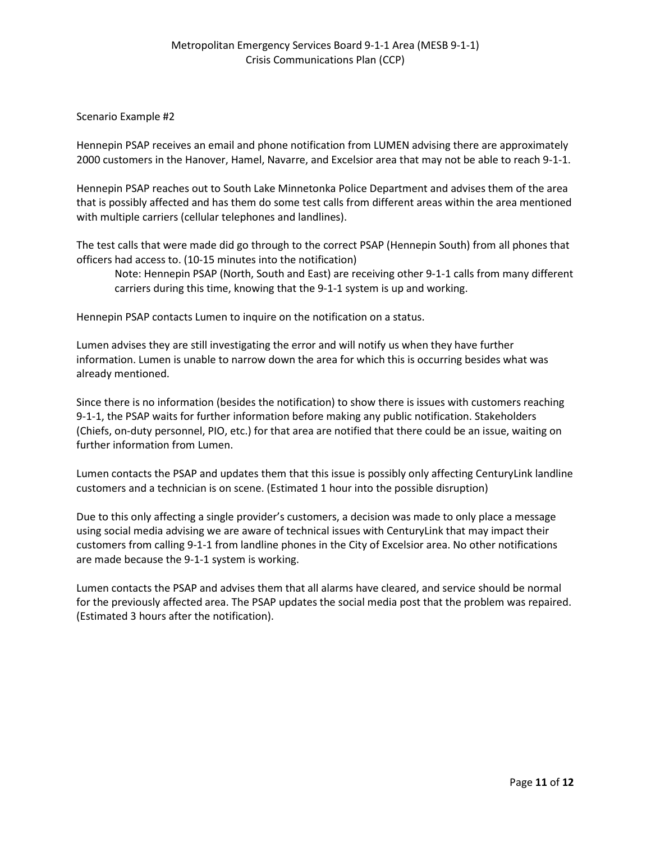#### Scenario Example #2

Hennepin PSAP receives an email and phone notification from LUMEN advising there are approximately 2000 customers in the Hanover, Hamel, Navarre, and Excelsior area that may not be able to reach 9-1-1.

Hennepin PSAP reaches out to South Lake Minnetonka Police Department and advises them of the area that is possibly affected and has them do some test calls from different areas within the area mentioned with multiple carriers (cellular telephones and landlines).

The test calls that were made did go through to the correct PSAP (Hennepin South) from all phones that officers had access to. (10-15 minutes into the notification)

Note: Hennepin PSAP (North, South and East) are receiving other 9-1-1 calls from many different carriers during this time, knowing that the 9-1-1 system is up and working.

Hennepin PSAP contacts Lumen to inquire on the notification on a status.

Lumen advises they are still investigating the error and will notify us when they have further information. Lumen is unable to narrow down the area for which this is occurring besides what was already mentioned.

Since there is no information (besides the notification) to show there is issues with customers reaching 9-1-1, the PSAP waits for further information before making any public notification. Stakeholders (Chiefs, on-duty personnel, PIO, etc.) for that area are notified that there could be an issue, waiting on further information from Lumen.

Lumen contacts the PSAP and updates them that this issue is possibly only affecting CenturyLink landline customers and a technician is on scene. (Estimated 1 hour into the possible disruption)

Due to this only affecting a single provider's customers, a decision was made to only place a message using social media advising we are aware of technical issues with CenturyLink that may impact their customers from calling 9-1-1 from landline phones in the City of Excelsior area. No other notifications are made because the 9-1-1 system is working.

Lumen contacts the PSAP and advises them that all alarms have cleared, and service should be normal for the previously affected area. The PSAP updates the social media post that the problem was repaired. (Estimated 3 hours after the notification).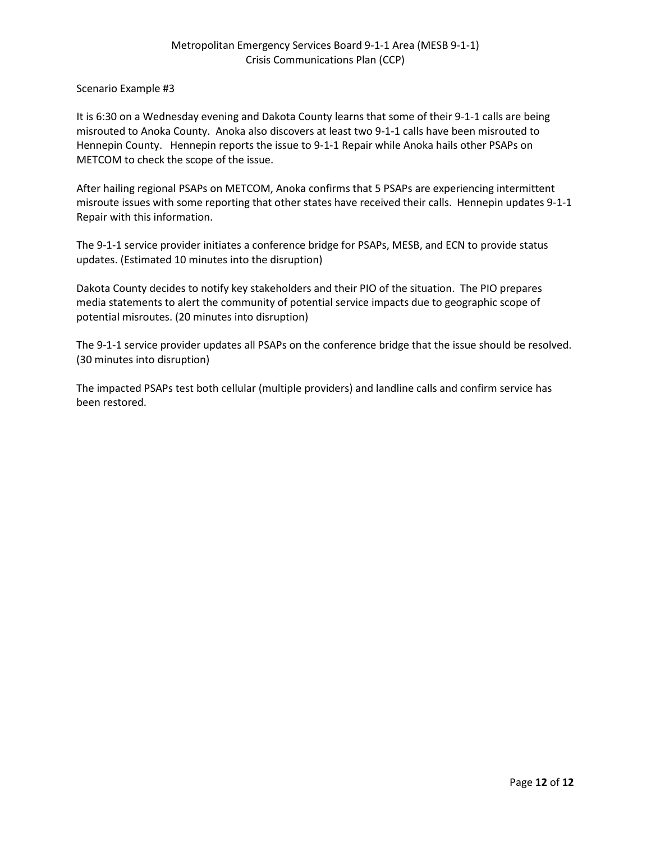Scenario Example #3

It is 6:30 on a Wednesday evening and Dakota County learns that some of their 9-1-1 calls are being misrouted to Anoka County. Anoka also discovers at least two 9-1-1 calls have been misrouted to Hennepin County. Hennepin reports the issue to 9-1-1 Repair while Anoka hails other PSAPs on METCOM to check the scope of the issue.

After hailing regional PSAPs on METCOM, Anoka confirms that 5 PSAPs are experiencing intermittent misroute issues with some reporting that other states have received their calls. Hennepin updates 9-1-1 Repair with this information.

The 9-1-1 service provider initiates a conference bridge for PSAPs, MESB, and ECN to provide status updates. (Estimated 10 minutes into the disruption)

Dakota County decides to notify key stakeholders and their PIO of the situation. The PIO prepares media statements to alert the community of potential service impacts due to geographic scope of potential misroutes. (20 minutes into disruption)

The 9-1-1 service provider updates all PSAPs on the conference bridge that the issue should be resolved. (30 minutes into disruption)

The impacted PSAPs test both cellular (multiple providers) and landline calls and confirm service has been restored.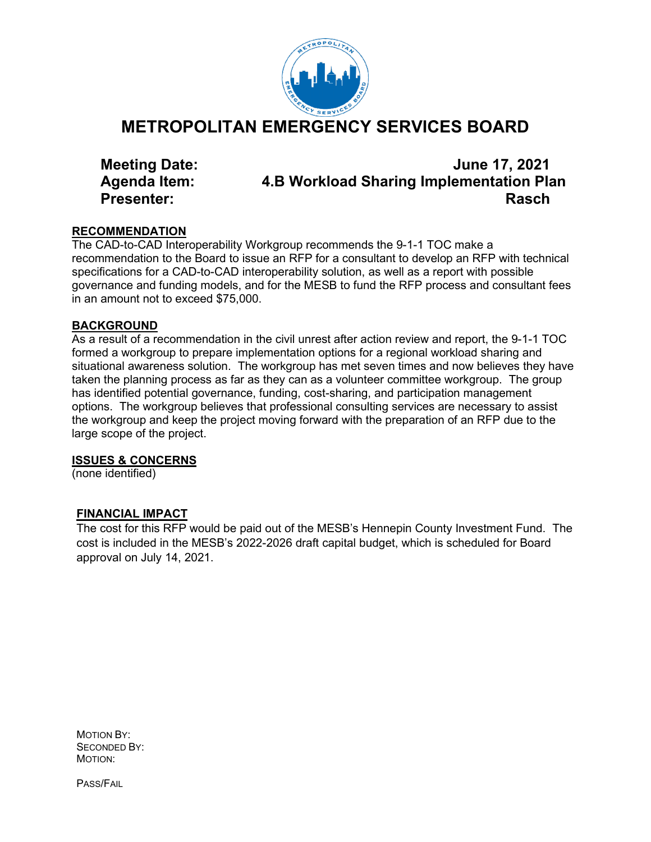

# **METROPOLITAN EMERGENCY SERVICES BOARD**

**Meeting Date: June 17, 2021 Agenda Item: 4.B Workload Sharing Implementation Plan Presenter: Rasch**

### **RECOMMENDATION**

The CAD-to-CAD Interoperability Workgroup recommends the 9-1-1 TOC make a recommendation to the Board to issue an RFP for a consultant to develop an RFP with technical specifications for a CAD-to-CAD interoperability solution, as well as a report with possible governance and funding models, and for the MESB to fund the RFP process and consultant fees in an amount not to exceed \$75,000.

### **BACKGROUND**

As a result of a recommendation in the civil unrest after action review and report, the 9-1-1 TOC formed a workgroup to prepare implementation options for a regional workload sharing and situational awareness solution. The workgroup has met seven times and now believes they have taken the planning process as far as they can as a volunteer committee workgroup. The group has identified potential governance, funding, cost-sharing, and participation management options. The workgroup believes that professional consulting services are necessary to assist the workgroup and keep the project moving forward with the preparation of an RFP due to the large scope of the project.

# **ISSUES & CONCERNS**

(none identified)

# **FINANCIAL IMPACT**

The cost for this RFP would be paid out of the MESB's Hennepin County Investment Fund. The cost is included in the MESB's 2022-2026 draft capital budget, which is scheduled for Board approval on July 14, 2021.

MOTION BY: SECONDED BY: MOTION:

PASS/FAIL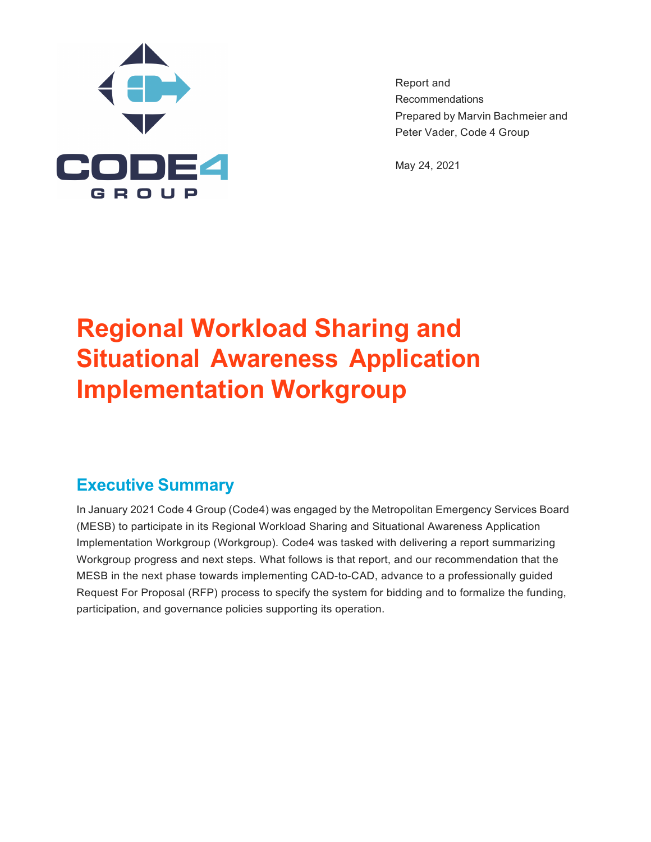

Report and Recommendations Prepared by Marvin Bachmeier and Peter Vader, Code 4 Group

May 24, 2021

# **Regional Workload Sharing and Situational Awareness Application Implementation Workgroup**

# **Executive Summary**

In January 2021 Code 4 Group (Code4) was engaged by the Metropolitan Emergency Services Board (MESB) to participate in its Regional Workload Sharing and Situational Awareness Application Implementation Workgroup (Workgroup). Code4 was tasked with delivering a report summarizing Workgroup progress and next steps. What follows is that report, and our recommendation that the MESB in the next phase towards implementing CAD-to-CAD, advance to a professionally guided Request For Proposal (RFP) process to specify the system for bidding and to formalize the funding, participation, and governance policies supporting its operation.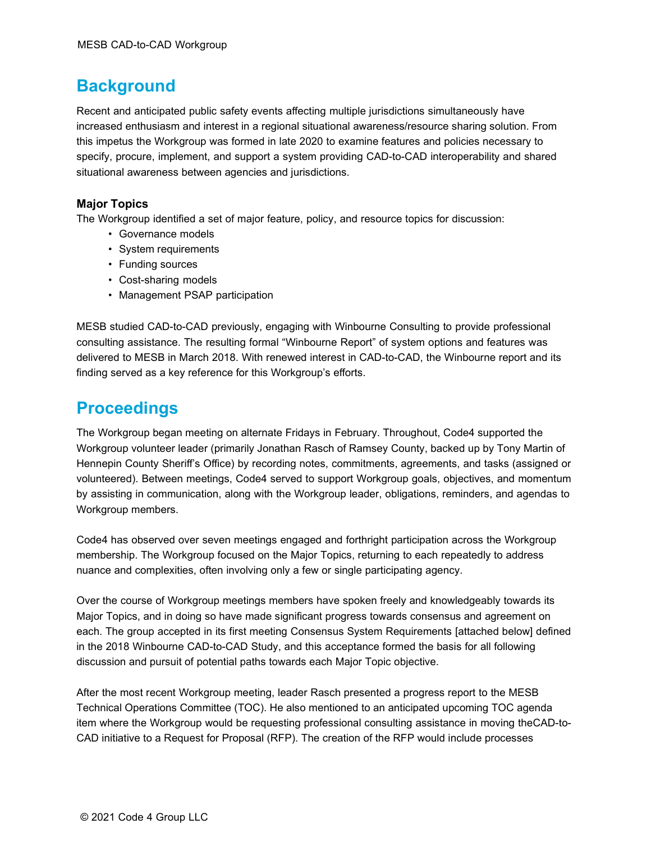# **Background**

Recent and anticipated public safety events affecting multiple jurisdictions simultaneously have increased enthusiasm and interest in a regional situational awareness/resource sharing solution. From this impetus the Workgroup was formed in late 2020 to examine features and policies necessary to specify, procure, implement, and support a system providing CAD-to-CAD interoperability and shared situational awareness between agencies and jurisdictions.

### **Major Topics**

The Workgroup identified a set of major feature, policy, and resource topics for discussion:

- Governance models
- System requirements
- Funding sources
- Cost-sharing models
- Management PSAP participation

MESB studied CAD-to-CAD previously, engaging with Winbourne Consulting to provide professional consulting assistance. The resulting formal "Winbourne Report" of system options and features was delivered to MESB in March 2018. With renewed interest in CAD-to-CAD, the Winbourne report and its finding served as a key reference for this Workgroup's efforts.

# **Proceedings**

The Workgroup began meeting on alternate Fridays in February. Throughout, Code4 supported the Workgroup volunteer leader (primarily Jonathan Rasch of Ramsey County, backed up by Tony Martin of Hennepin County Sheriff's Office) by recording notes, commitments, agreements, and tasks (assigned or volunteered). Between meetings, Code4 served to support Workgroup goals, objectives, and momentum by assisting in communication, along with the Workgroup leader, obligations, reminders, and agendas to Workgroup members.

Code4 has observed over seven meetings engaged and forthright participation across the Workgroup membership. The Workgroup focused on the Major Topics, returning to each repeatedly to address nuance and complexities, often involving only a few or single participating agency.

Over the course of Workgroup meetings members have spoken freely and knowledgeably towards its Major Topics, and in doing so have made significant progress towards consensus and agreement on each. The group accepted in its first meeting Consensus System Requirements [attached below] defined in the 2018 Winbourne CAD-to-CAD Study, and this acceptance formed the basis for all following discussion and pursuit of potential paths towards each Major Topic objective.

After the most recent Workgroup meeting, leader Rasch presented a progress report to the MESB Technical Operations Committee (TOC). He also mentioned to an anticipated upcoming TOC agenda item where the Workgroup would be requesting professional consulting assistance in moving theCAD-to-CAD initiative to a Request for Proposal (RFP). The creation of the RFP would include processes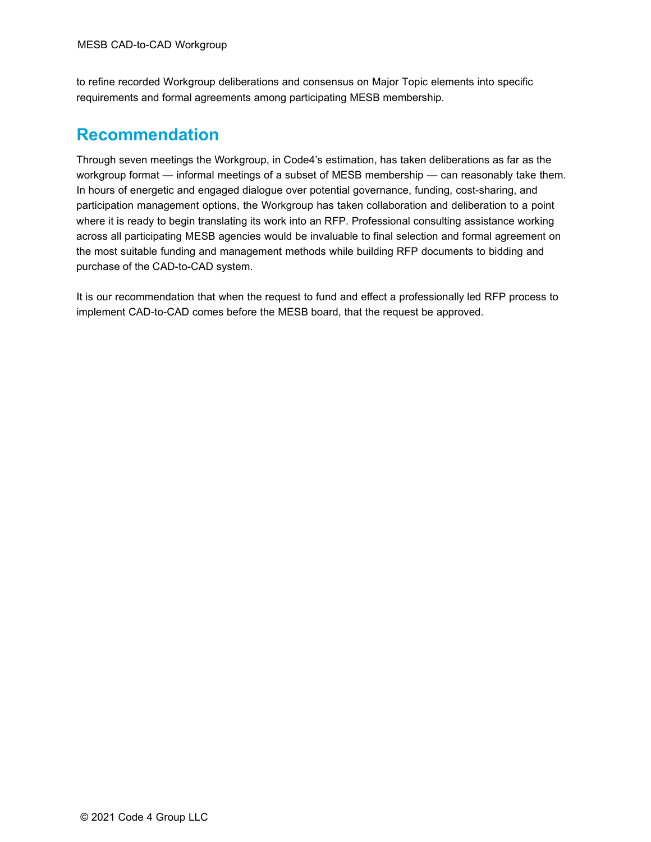to refine recorded Workgroup deliberations and consensus on Major Topic elements into specific requirements and formal agreements among participating MESB membership.

# **Recommendation**

Through seven meetings the Workgroup, in Code4's estimation, has taken deliberations as far as the workgroup format — informal meetings of a subset of MESB membership — can reasonably take them. In hours of energetic and engaged dialogue over potential governance, funding, cost-sharing, and participation management options, the Workgroup has taken collaboration and deliberation to a point where it is ready to begin translating its work into an RFP. Professional consulting assistance working across all participating MESB agencies would be invaluable to final selection and formal agreement on the most suitable funding and management methods while building RFP documents to bidding and purchase of the CAD-to-CAD system.

It is our recommendation that when the request to fund and effect a professionally led RFP process to implement CAD-to-CAD comes before the MESB board, that the request be approved.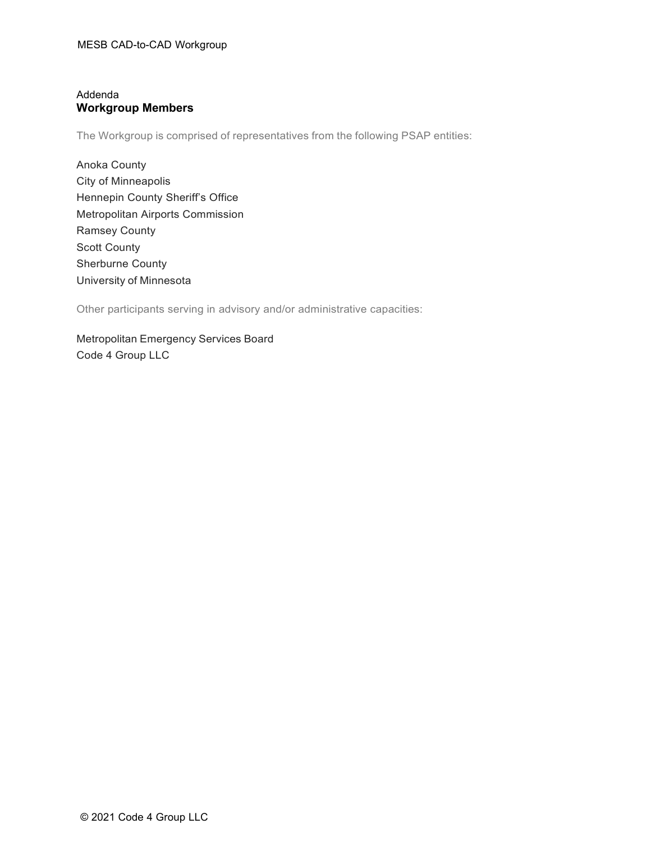### Addenda **Workgroup Members**

The Workgroup is comprised of representatives from the following PSAP entities:

Anoka County City of Minneapolis Hennepin County Sheriff's Office Metropolitan Airports Commission Ramsey County Scott County Sherburne County University of Minnesota

Other participants serving in advisory and/or administrative capacities:

Metropolitan Emergency Services Board Code 4 Group LLC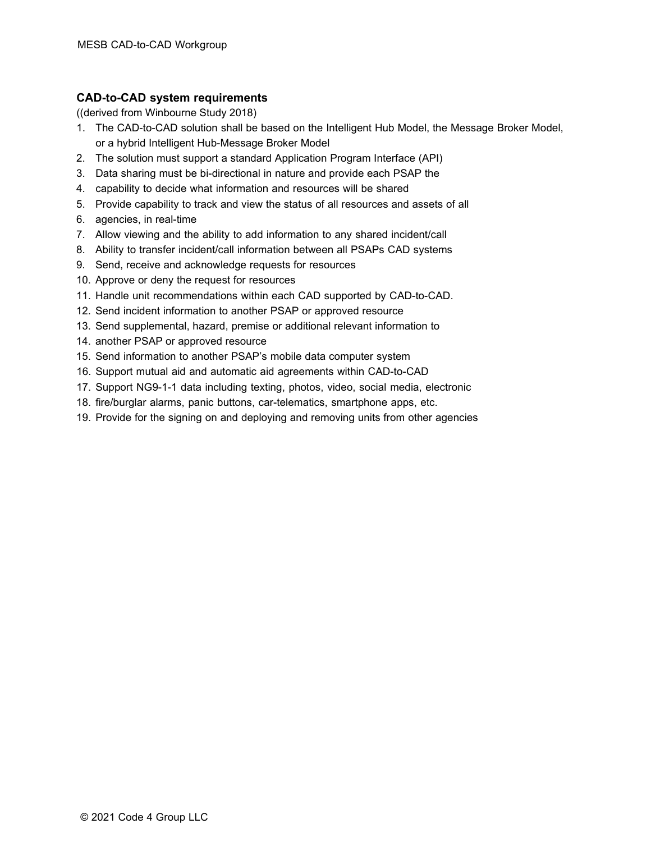#### **CAD-to-CAD system requirements**

((derived from Winbourne Study 2018)

- 1. The CAD-to-CAD solution shall be based on the Intelligent Hub Model, the Message Broker Model, or a hybrid Intelligent Hub-Message Broker Model
- 2. The solution must support a standard Application Program Interface (API)
- 3. Data sharing must be bi-directional in nature and provide each PSAP the
- 4. capability to decide what information and resources will be shared
- 5. Provide capability to track and view the status of all resources and assets of all
- 6. agencies, in real-time
- 7. Allow viewing and the ability to add information to any shared incident/call
- 8. Ability to transfer incident/call information between all PSAPs CAD systems
- 9. Send, receive and acknowledge requests for resources
- 10. Approve or deny the request for resources
- 11. Handle unit recommendations within each CAD supported by CAD-to-CAD.
- 12. Send incident information to another PSAP or approved resource
- 13. Send supplemental, hazard, premise or additional relevant information to
- 14. another PSAP or approved resource
- 15. Send information to another PSAP's mobile data computer system
- 16. Support mutual aid and automatic aid agreements within CAD-to-CAD
- 17. Support NG9-1-1 data including texting, photos, video, social media, electronic
- 18. fire/burglar alarms, panic buttons, car-telematics, smartphone apps, etc.
- 19. Provide for the signing on and deploying and removing units from other agencies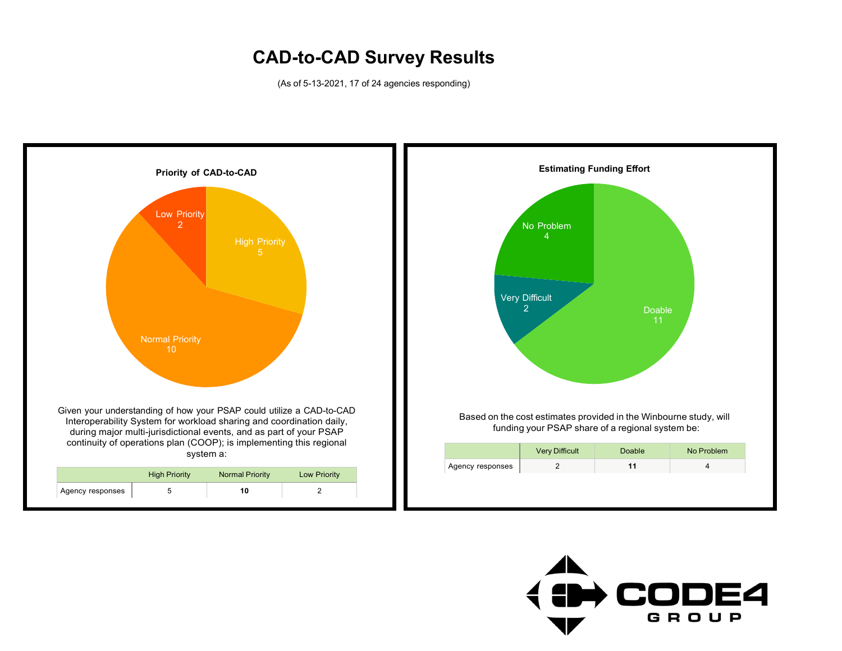# **CAD-to-CAD Survey Results**

(As of 5-13-2021, 17 of 24 agencies responding)



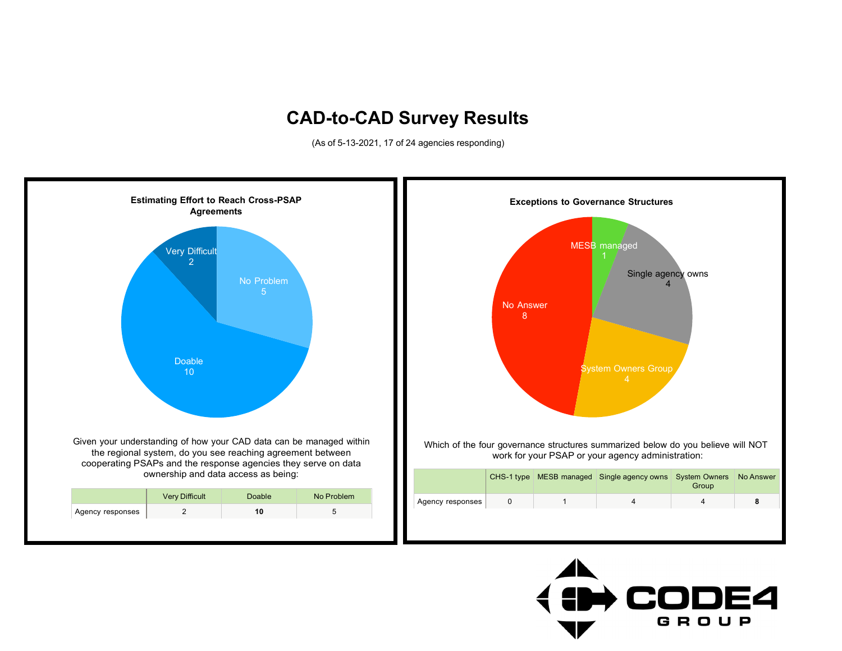# **CAD-to-CAD Survey Results**

(As of 5-13-2021, 17 of 24 agencies responding)



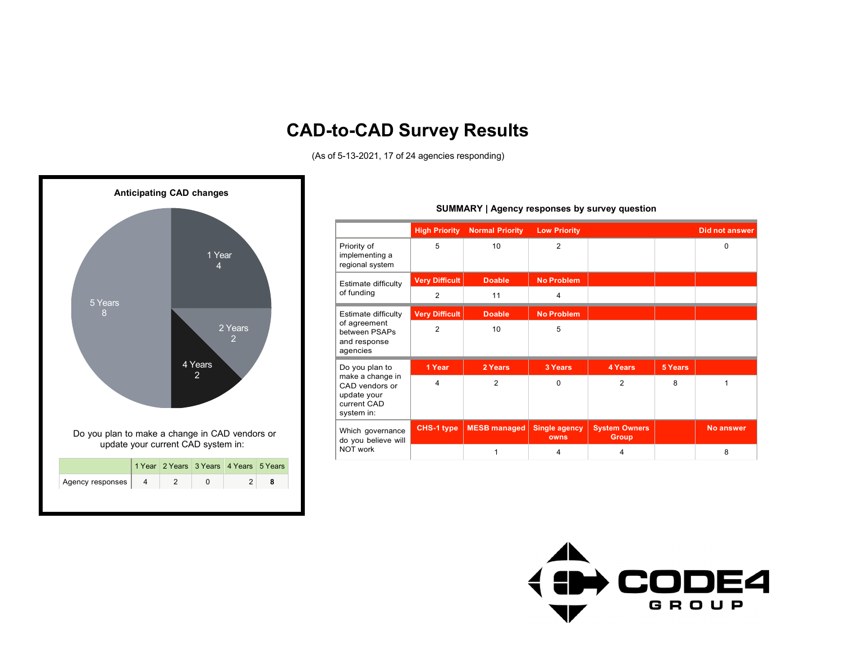# **CAD-to-CAD Survey Results**

(As of 5-13-2021, 17 of 24 agencies responding)



#### **High Priority Normal Priority Low Priority Did not answer** Priority of implementing a regional system 5 10 2 0 Estimate difficulty of funding **Very Difficult Doable No Problem** 2 11 4 Estimate difficulty of agreement between PSAPs and response agencies **Very Difficult Doable No Problem** 2 10 5 Do you plan to make a change in CAD vendors or update your current CAD system in: **1 Year 2 Years 3 Years 4 Years 5 Years** 4 | 2 | 0 | 2 | 8 | 1 Which governance do you believe will NOT work **CHS-1 type MESB managed Single agency owns System Owners Group No answer** 1 4 4 4 8

#### **SUMMARY | Agency responses by survey question**

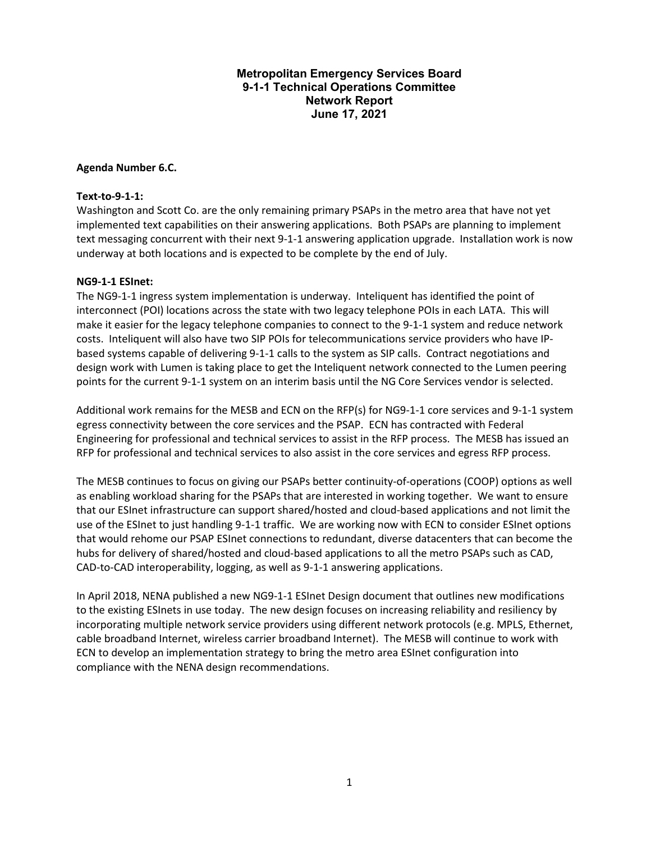#### **Metropolitan Emergency Services Board 9-1-1 Technical Operations Committee Network Report June 17, 2021**

#### **Agenda Number 6.C.**

#### **Text-to-9-1-1:**

Washington and Scott Co. are the only remaining primary PSAPs in the metro area that have not yet implemented text capabilities on their answering applications. Both PSAPs are planning to implement text messaging concurrent with their next 9-1-1 answering application upgrade. Installation work is now underway at both locations and is expected to be complete by the end of July.

#### **NG9-1-1 ESInet:**

The NG9-1-1 ingress system implementation is underway. Inteliquent has identified the point of interconnect (POI) locations across the state with two legacy telephone POIs in each LATA. This will make it easier for the legacy telephone companies to connect to the 9-1-1 system and reduce network costs. Inteliquent will also have two SIP POIs for telecommunications service providers who have IPbased systems capable of delivering 9-1-1 calls to the system as SIP calls. Contract negotiations and design work with Lumen is taking place to get the Inteliquent network connected to the Lumen peering points for the current 9-1-1 system on an interim basis until the NG Core Services vendor is selected.

Additional work remains for the MESB and ECN on the RFP(s) for NG9-1-1 core services and 9-1-1 system egress connectivity between the core services and the PSAP. ECN has contracted with Federal Engineering for professional and technical services to assist in the RFP process. The MESB has issued an RFP for professional and technical services to also assist in the core services and egress RFP process.

The MESB continues to focus on giving our PSAPs better continuity-of-operations (COOP) options as well as enabling workload sharing for the PSAPs that are interested in working together. We want to ensure that our ESInet infrastructure can support shared/hosted and cloud-based applications and not limit the use of the ESInet to just handling 9-1-1 traffic. We are working now with ECN to consider ESInet options that would rehome our PSAP ESInet connections to redundant, diverse datacenters that can become the hubs for delivery of shared/hosted and cloud-based applications to all the metro PSAPs such as CAD, CAD-to-CAD interoperability, logging, as well as 9-1-1 answering applications.

In April 2018, NENA published a new NG9-1-1 ESInet Design document that outlines new modifications to the existing ESInets in use today. The new design focuses on increasing reliability and resiliency by incorporating multiple network service providers using different network protocols (e.g. MPLS, Ethernet, cable broadband Internet, wireless carrier broadband Internet). The MESB will continue to work with ECN to develop an implementation strategy to bring the metro area ESInet configuration into compliance with the NENA design recommendations.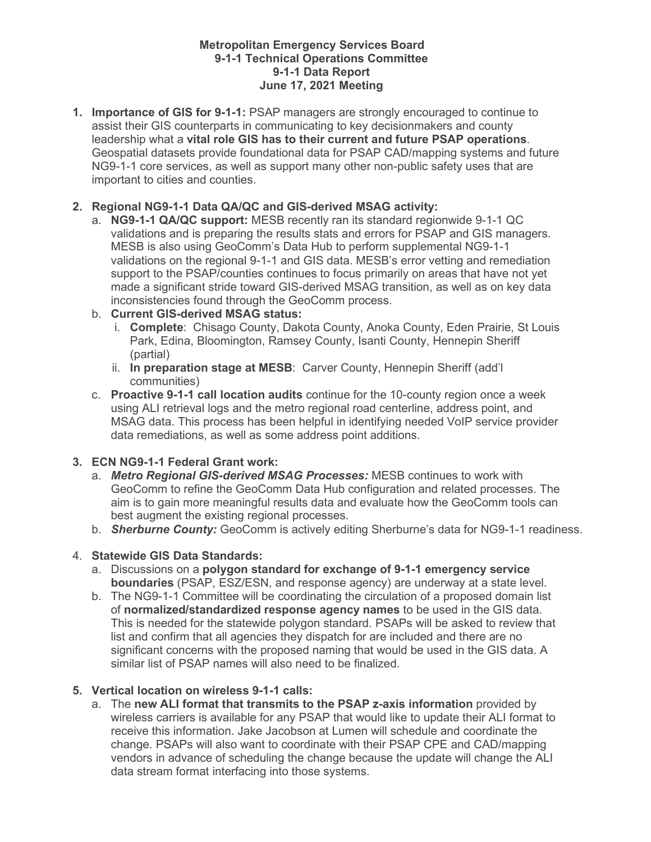#### **Metropolitan Emergency Services Board 9-1-1 Technical Operations Committee 9-1-1 Data Report June 17, 2021 Meeting**

**1. Importance of GIS for 9-1-1:** PSAP managers are strongly encouraged to continue to assist their GIS counterparts in communicating to key decisionmakers and county leadership what a **vital role GIS has to their current and future PSAP operations**. Geospatial datasets provide foundational data for PSAP CAD/mapping systems and future NG9-1-1 core services, as well as support many other non-public safety uses that are important to cities and counties.

# **2. Regional NG9-1-1 Data QA/QC and GIS-derived MSAG activity:**

a. **NG9-1-1 QA/QC support:** MESB recently ran its standard regionwide 9-1-1 QC validations and is preparing the results stats and errors for PSAP and GIS managers. MESB is also using GeoComm's Data Hub to perform supplemental NG9-1-1 validations on the regional 9-1-1 and GIS data. MESB's error vetting and remediation support to the PSAP/counties continues to focus primarily on areas that have not yet made a significant stride toward GIS-derived MSAG transition, as well as on key data inconsistencies found through the GeoComm process.

### b. **Current GIS-derived MSAG status:**

- i. **Complete**: Chisago County, Dakota County, Anoka County, Eden Prairie, St Louis Park, Edina, Bloomington, Ramsey County, Isanti County, Hennepin Sheriff (partial)
- ii. **In preparation stage at MESB**: Carver County, Hennepin Sheriff (add'l communities)
- c. **Proactive 9-1-1 call location audits** continue for the 10-county region once a week using ALI retrieval logs and the metro regional road centerline, address point, and MSAG data. This process has been helpful in identifying needed VoIP service provider data remediations, as well as some address point additions.

# **3. ECN NG9-1-1 Federal Grant work:**

- a. *Metro Regional GIS-derived MSAG Processes:* MESB continues to work with GeoComm to refine the GeoComm Data Hub configuration and related processes. The aim is to gain more meaningful results data and evaluate how the GeoComm tools can best augment the existing regional processes.
- b. *Sherburne County:* GeoComm is actively editing Sherburne's data for NG9-1-1 readiness.

# 4. **Statewide GIS Data Standards:**

- a. Discussions on a **polygon standard for exchange of 9-1-1 emergency service boundaries** (PSAP, ESZ/ESN, and response agency) are underway at a state level.
- b. The NG9-1-1 Committee will be coordinating the circulation of a proposed domain list of **normalized/standardized response agency names** to be used in the GIS data. This is needed for the statewide polygon standard. PSAPs will be asked to review that list and confirm that all agencies they dispatch for are included and there are no significant concerns with the proposed naming that would be used in the GIS data. A similar list of PSAP names will also need to be finalized.

# **5. Vertical location on wireless 9-1-1 calls:**

a. The **new ALI format that transmits to the PSAP z-axis information** provided by wireless carriers is available for any PSAP that would like to update their ALI format to receive this information. Jake Jacobson at Lumen will schedule and coordinate the change. PSAPs will also want to coordinate with their PSAP CPE and CAD/mapping vendors in advance of scheduling the change because the update will change the ALI data stream format interfacing into those systems.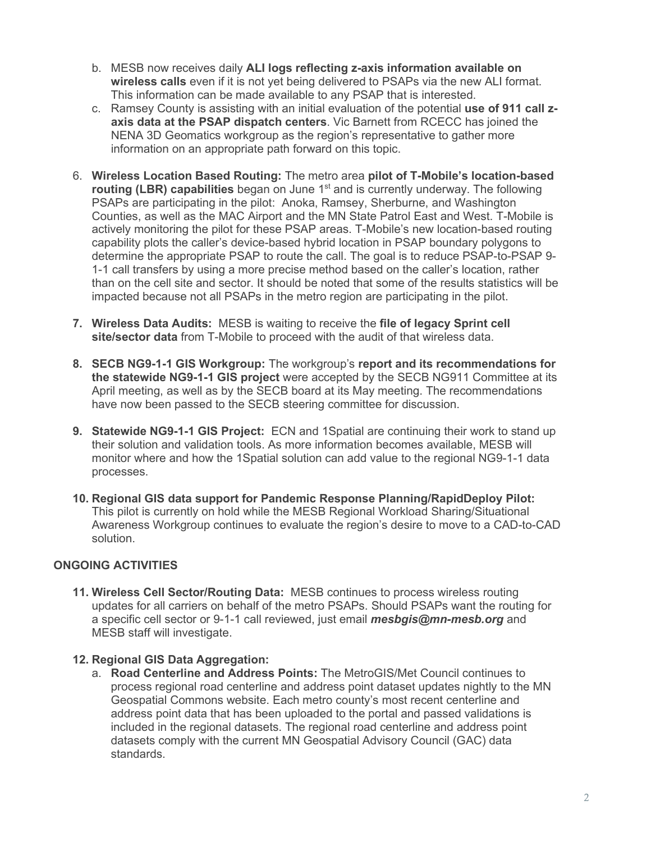- b. MESB now receives daily **ALI logs reflecting z-axis information available on wireless calls** even if it is not yet being delivered to PSAPs via the new ALI format. This information can be made available to any PSAP that is interested.
- c. Ramsey County is assisting with an initial evaluation of the potential **use of 911 call zaxis data at the PSAP dispatch centers**. Vic Barnett from RCECC has joined the NENA 3D Geomatics workgroup as the region's representative to gather more information on an appropriate path forward on this topic.
- 6. **Wireless Location Based Routing:** The metro area **pilot of T-Mobile's location-based routing (LBR) capabilities** began on June 1<sup>st</sup> and is currently underway. The following PSAPs are participating in the pilot: Anoka, Ramsey, Sherburne, and Washington Counties, as well as the MAC Airport and the MN State Patrol East and West. T-Mobile is actively monitoring the pilot for these PSAP areas. T-Mobile's new location-based routing capability plots the caller's device-based hybrid location in PSAP boundary polygons to determine the appropriate PSAP to route the call. The goal is to reduce PSAP-to-PSAP 9- 1-1 call transfers by using a more precise method based on the caller's location, rather than on the cell site and sector. It should be noted that some of the results statistics will be impacted because not all PSAPs in the metro region are participating in the pilot.
- **7. Wireless Data Audits:** MESB is waiting to receive the **file of legacy Sprint cell site/sector data** from T-Mobile to proceed with the audit of that wireless data.
- **8. SECB NG9-1-1 GIS Workgroup:** The workgroup's **report and its recommendations for the statewide NG9-1-1 GIS project** were accepted by the SECB NG911 Committee at its April meeting, as well as by the SECB board at its May meeting. The recommendations have now been passed to the SECB steering committee for discussion.
- **9. Statewide NG9-1-1 GIS Project:** ECN and 1Spatial are continuing their work to stand up their solution and validation tools. As more information becomes available, MESB will monitor where and how the 1Spatial solution can add value to the regional NG9-1-1 data processes.
- **10. Regional GIS data support for Pandemic Response Planning/RapidDeploy Pilot:**  This pilot is currently on hold while the MESB Regional Workload Sharing/Situational Awareness Workgroup continues to evaluate the region's desire to move to a CAD-to-CAD solution.

# **ONGOING ACTIVITIES**

**11. Wireless Cell Sector/Routing Data:** MESB continues to process wireless routing updates for all carriers on behalf of the metro PSAPs. Should PSAPs want the routing for a specific cell sector or 9-1-1 call reviewed, just email *mesbgis@mn-mesb.org* and MESB staff will investigate.

### **12. Regional GIS Data Aggregation:**

a. **Road Centerline and Address Points:** The MetroGIS/Met Council continues to process regional road centerline and address point dataset updates nightly to the MN Geospatial Commons website. Each metro county's most recent centerline and address point data that has been uploaded to the portal and passed validations is included in the regional datasets. The regional road centerline and address point datasets comply with the current MN Geospatial Advisory Council (GAC) data standards.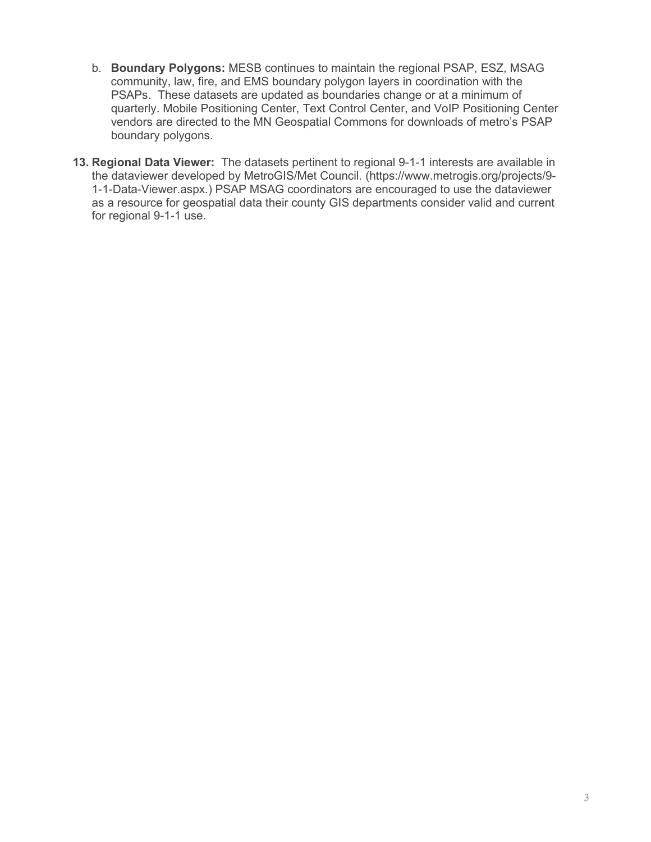- b. **Boundary Polygons:** MESB continues to maintain the regional PSAP, ESZ, MSAG community, law, fire, and EMS boundary polygon layers in coordination with the PSAPs. These datasets are updated as boundaries change or at a minimum of quarterly. Mobile Positioning Center, Text Control Center, and VoIP Positioning Center vendors are directed to the MN Geospatial Commons for downloads of metro's PSAP boundary polygons.
- **13. Regional Data Viewer:** The datasets pertinent to regional 9-1-1 interests are available in the dataviewer developed by MetroGIS/Met Council. (https://www.metrogis.org/projects/9- 1-1-Data-Viewer.aspx.) PSAP MSAG coordinators are encouraged to use the dataviewer as a resource for geospatial data their county GIS departments consider valid and current for regional 9-1-1 use.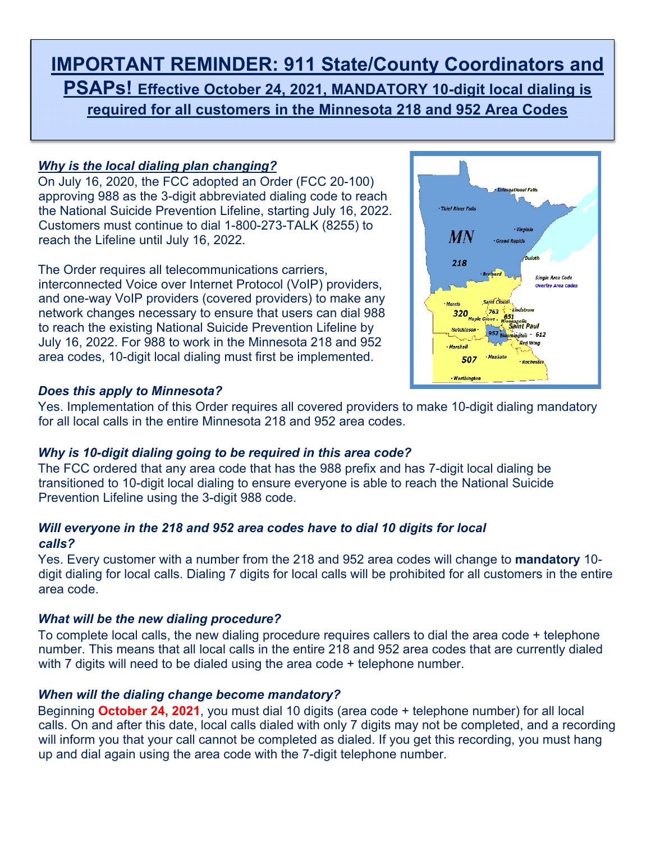# **IMPORTANT REMINDER: 911 State/County Coordinators and PSAPs! Effective October 24, 2021, MANDATORY 10-digit local dialing is required for all customers in the Minnesota 218 and 952 Area Codes**

# *Why is the local dialing plan changing?*

On July 16, 2020, the FCC adopted an Order (FCC 20-100) approving 988 as the 3-digit abbreviated dialing code to reach the National Suicide Prevention Lifeline, starting July 16, 2022. Customers must continue to dial 1-800-273-TALK (8255) to reach the Lifeline until July 16, 2022.

The Order requires all telecommunications carriers, interconnected Voice over Internet Protocol (VoIP) providers, and one-way VoIP providers (covered providers) to make any network changes necessary to ensure that users can dial 988 to reach the existing National Suicide Prevention Lifeline by July 16, 2022. For 988 to work in the Minnesota 218 and 952 area codes, 10-digit local dialing must first be implemented.



# *Does this apply to Minnesota?*

Yes. Implementation of this Order requires all covered providers to make 10-digit dialing mandatory for all local calls in the entire Minnesota 218 and 952 area codes.

# *Why is 10-digit dialing going to be required in this area code?*

The FCC ordered that any area code that has the 988 prefix and has 7-digit local dialing be transitioned to 10-digit local dialing to ensure everyone is able to reach the National Suicide Prevention Lifeline using the 3-digit 988 code.

# *Will everyone in the 218 and 952 area codes have to dial 10 digits for local calls?*

Yes. Every customer with a number from the 218 and 952 area codes will change to **mandatory** 10 digit dialing for local calls. Dialing 7 digits for local calls will be prohibited for all customers in the entire area code.

# *What will be the new dialing procedure?*

To complete local calls, the new dialing procedure requires callers to dial the area code + telephone number. This means that all local calls in the entire 218 and 952 area codes that are currently dialed with 7 digits will need to be dialed using the area code + telephone number.

# *When will the dialing change become mandatory?*

Beginning **October 24, 2021**, you must dial 10 digits (area code + telephone number) for all local calls. On and after this date, local calls dialed with only 7 digits may not be completed, and a recording will inform you that your call cannot be completed as dialed. If you get this recording, you must hang up and dial again using the area code with the 7-digit telephone number.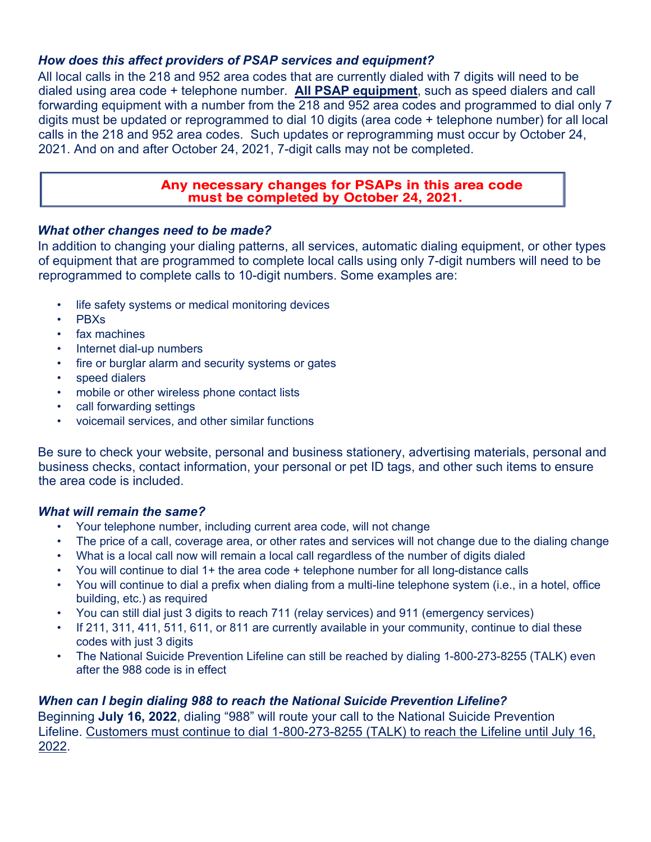# *How does this affect providers of PSAP services and equipment?*

All local calls in the 218 and 952 area codes that are currently dialed with 7 digits will need to be dialed using area code + telephone number. **All PSAP equipment**, such as speed dialers and call forwarding equipment with a number from the 218 and 952 area codes and programmed to dial only 7 digits must be updated or reprogrammed to dial 10 digits (area code + telephone number) for all local calls in the 218 and 952 area codes. Such updates or reprogramming must occur by October 24, 2021. And on and after October 24, 2021, 7-digit calls may not be completed.

### Any necessary changes for PSAPs in this area code must be completed by October 24, 2021.

# *What other changes need to be made?*

In addition to changing your dialing patterns, all services, automatic dialing equipment, or other types of equipment that are programmed to complete local calls using only 7-digit numbers will need to be reprogrammed to complete calls to 10-digit numbers. Some examples are:

- life safety systems or medical monitoring devices
- PBXs
- fax machines
- Internet dial-up numbers
- fire or burglar alarm and security systems or gates
- speed dialers
- mobile or other wireless phone contact lists
- call forwarding settings
- voicemail services, and other similar functions

Be sure to check your website, personal and business stationery, advertising materials, personal and business checks, contact information, your personal or pet ID tags, and other such items to ensure the area code is included.

# *What will remain the same?*

- Your telephone number, including current area code, will not change
- The price of a call, coverage area, or other rates and services will not change due to the dialing change
- What is a local call now will remain a local call regardless of the number of digits dialed
- You will continue to dial 1+ the area code + telephone number for all long-distance calls
- You will continue to dial a prefix when dialing from a multi-line telephone system (i.e., in a hotel, office building, etc.) as required
- You can still dial just 3 digits to reach 711 (relay services) and 911 (emergency services)
- If 211, 311, 411, 511, 611, or 811 are currently available in your community, continue to dial these codes with just 3 digits
- The National Suicide Prevention Lifeline can still be reached by dialing 1-800-273-8255 (TALK) even after the 988 code is in effect

# *When can I begin dialing 988 to reach the National Suicide Prevention Lifeline?*

Beginning **July 16, 2022**, dialing "988" will route your call to the National Suicide Prevention Lifeline. Customers must continue to dial 1-800-273-8255 (TALK) to reach the Lifeline until July 16, 2022.